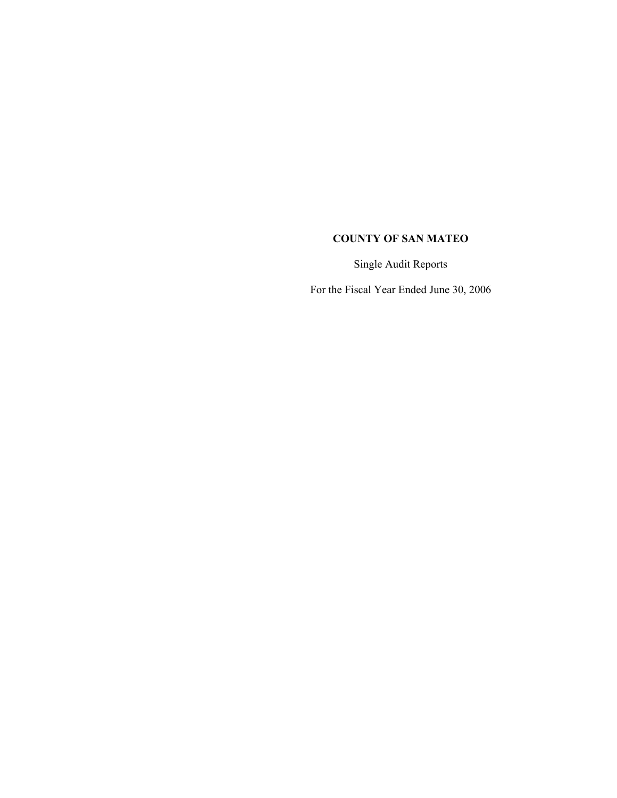Single Audit Reports

For the Fiscal Year Ended June 30, 2006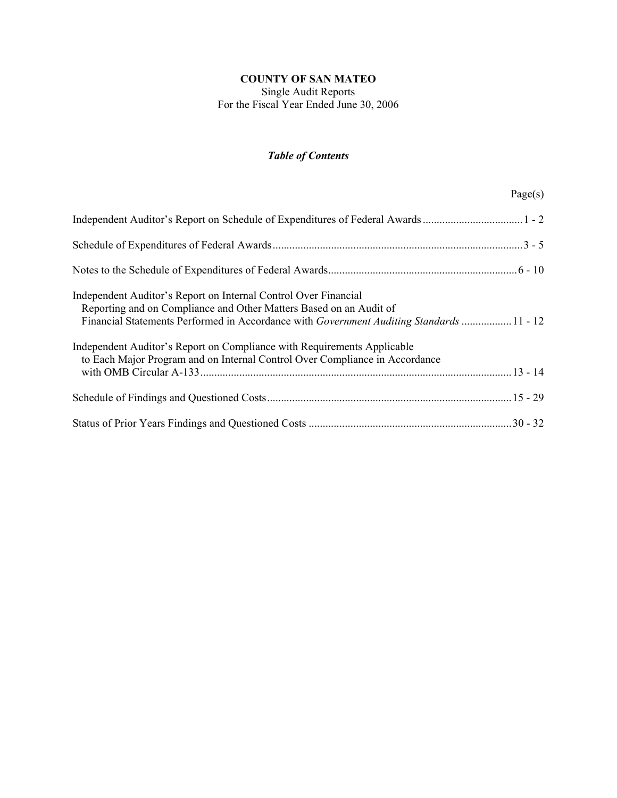Single Audit Reports For the Fiscal Year Ended June 30, 2006

# *Table of Contents*

| Independent Auditor's Report on Internal Control Over Financial<br>Reporting and on Compliance and Other Matters Based on an Audit of<br>Financial Statements Performed in Accordance with <i>Government Auditing Standards</i> 11 - 12 |
|-----------------------------------------------------------------------------------------------------------------------------------------------------------------------------------------------------------------------------------------|
| Independent Auditor's Report on Compliance with Requirements Applicable<br>to Each Major Program and on Internal Control Over Compliance in Accordance                                                                                  |
|                                                                                                                                                                                                                                         |
|                                                                                                                                                                                                                                         |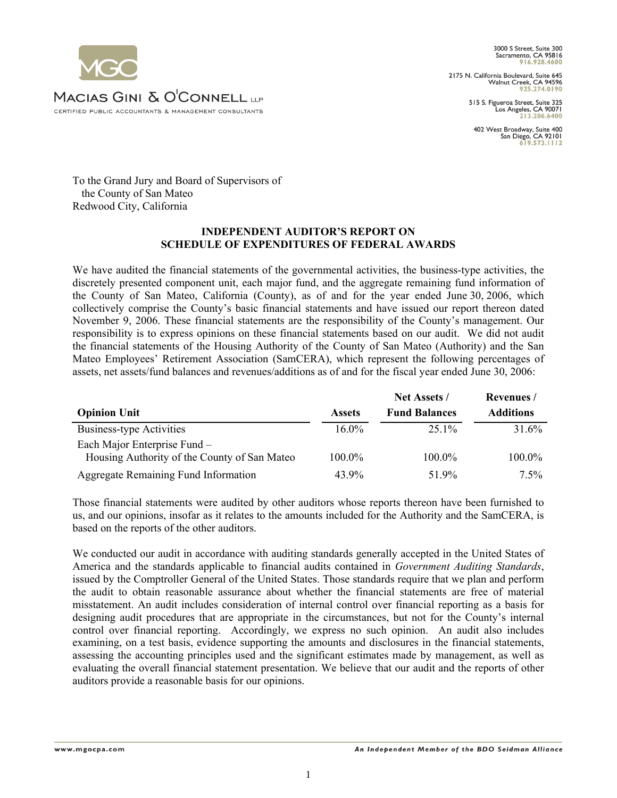

3000 S Street, Suite 300 Sacramento, CA 95816

2175 N. California Boulevard, Suite 645 Walnut Creek, CA 94596

> 515 S. Figueroa Street, Suite 325<br>Los Angeles, CA 90071 213.286.6400

402 West Broadway, Suite 400<br>San Diego, CA 92101 619.573.1112

To the Grand Jury and Board of Supervisors of the County of San Mateo Redwood City, California

#### **INDEPENDENT AUDITOR'S REPORT ON SCHEDULE OF EXPENDITURES OF FEDERAL AWARDS**

We have audited the financial statements of the governmental activities, the business-type activities, the discretely presented component unit, each major fund, and the aggregate remaining fund information of the County of San Mateo, California (County), as of and for the year ended June 30, 2006, which collectively comprise the County's basic financial statements and have issued our report thereon dated November 9, 2006. These financial statements are the responsibility of the County's management. Our responsibility is to express opinions on these financial statements based on our audit. We did not audit the financial statements of the Housing Authority of the County of San Mateo (Authority) and the San Mateo Employees' Retirement Association (SamCERA), which represent the following percentages of assets, net assets/fund balances and revenues/additions as of and for the fiscal year ended June 30, 2006:

|                                              |               | Net Assets /         | Revenues /       |
|----------------------------------------------|---------------|----------------------|------------------|
| <b>Opinion Unit</b>                          | <b>Assets</b> | <b>Fund Balances</b> | <b>Additions</b> |
| <b>Business-type Activities</b>              | $16.0\%$      | 25.1%                | 31.6%            |
| Each Major Enterprise Fund –                 |               |                      |                  |
| Housing Authority of the County of San Mateo | 100.0%        | 100.0%               | 100.0%           |
| Aggregate Remaining Fund Information         | 43.9%         | 51.9%                | $7.5\%$          |

Those financial statements were audited by other auditors whose reports thereon have been furnished to us, and our opinions, insofar as it relates to the amounts included for the Authority and the SamCERA, is based on the reports of the other auditors.

We conducted our audit in accordance with auditing standards generally accepted in the United States of America and the standards applicable to financial audits contained in *Government Auditing Standards*, issued by the Comptroller General of the United States. Those standards require that we plan and perform the audit to obtain reasonable assurance about whether the financial statements are free of material misstatement. An audit includes consideration of internal control over financial reporting as a basis for designing audit procedures that are appropriate in the circumstances, but not for the County's internal control over financial reporting. Accordingly, we express no such opinion. An audit also includes examining, on a test basis, evidence supporting the amounts and disclosures in the financial statements, assessing the accounting principles used and the significant estimates made by management, as well as evaluating the overall financial statement presentation. We believe that our audit and the reports of other auditors provide a reasonable basis for our opinions.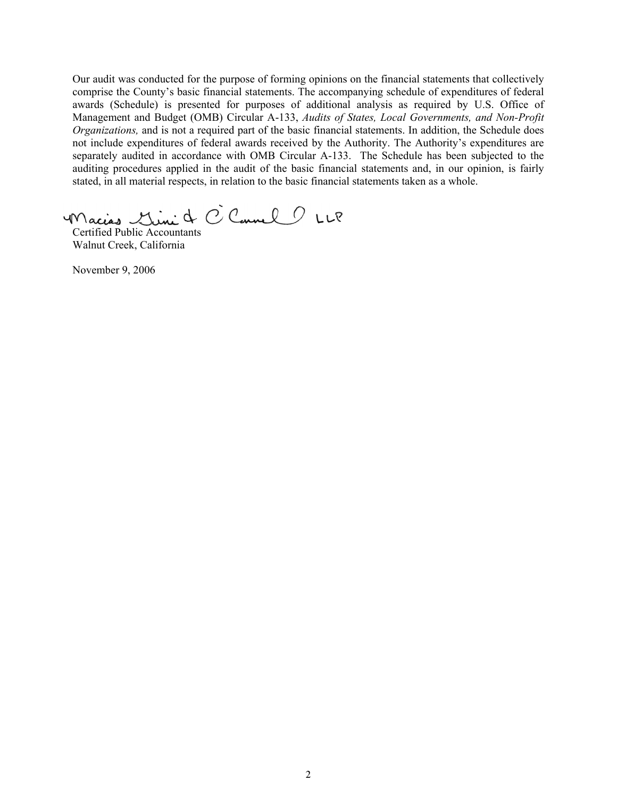Our audit was conducted for the purpose of forming opinions on the financial statements that collectively comprise the County's basic financial statements. The accompanying schedule of expenditures of federal awards (Schedule) is presented for purposes of additional analysis as required by U.S. Office of Management and Budget (OMB) Circular A-133, *Audits of States, Local Governments, and Non-Profit Organizations*, and is not a required part of the basic financial statements. In addition, the Schedule does not include expenditures of federal awards received by the Authority. The Authority's expenditures are separately audited in accordance with OMB Circular A-133. The Schedule has been subjected to the auditing procedures applied in the audit of the basic financial statements and, in our opinion, is fairly stated, in all material respects, in relation to the basic financial statements taken as a whole.

Macias Mini & C Connel 1 LLP

Walnut Creek, California

November 9, 2006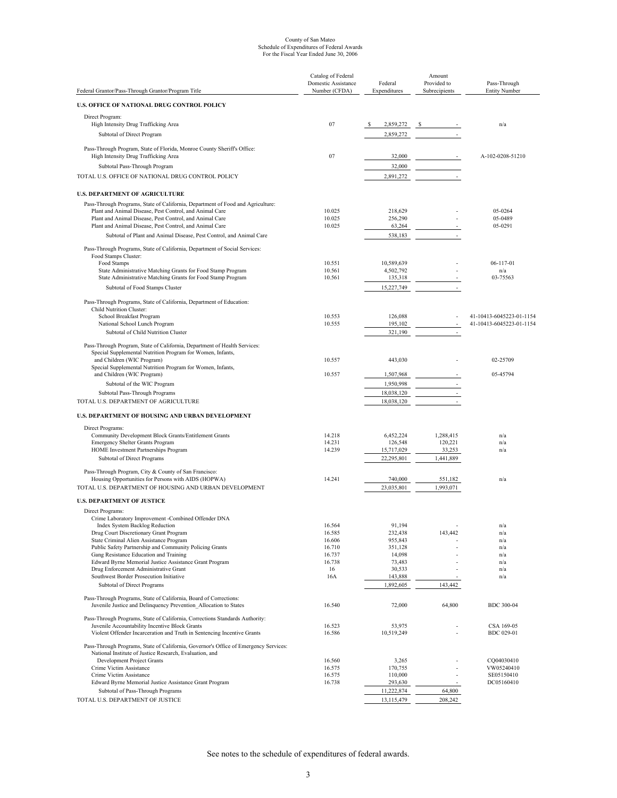# County of San Mateo Schedule of Expenditures of Federal Awards For the Fiscal Year Ended June 30, 2006

|                                                                                                                                       | Catalog of Federal<br>Domestic Assistance | Federal                | Amount<br>Provided to | Pass-Through             |
|---------------------------------------------------------------------------------------------------------------------------------------|-------------------------------------------|------------------------|-----------------------|--------------------------|
| Federal Grantor/Pass-Through Grantor/Program Title                                                                                    | Number (CFDA)                             | Expenditures           | Subrecipients         | <b>Entity Number</b>     |
| U.S. OFFICE OF NATIONAL DRUG CONTROL POLICY                                                                                           |                                           |                        |                       |                          |
| Direct Program:<br>High Intensity Drug Trafficking Area                                                                               | 07                                        | 2,859,272              |                       | n/a                      |
| Subtotal of Direct Program                                                                                                            |                                           | 2,859,272              |                       |                          |
|                                                                                                                                       |                                           |                        |                       |                          |
| Pass-Through Program, State of Florida, Monroe County Sheriff's Office:<br>High Intensity Drug Trafficking Area                       | 07                                        | 32,000                 |                       | A-102-0208-51210         |
| Subtotal Pass-Through Program                                                                                                         |                                           | 32,000                 |                       |                          |
| TOTAL U.S. OFFICE OF NATIONAL DRUG CONTROL POLICY                                                                                     |                                           | 2,891,272              |                       |                          |
| <b>U.S. DEPARTMENT OF AGRICULTURE</b>                                                                                                 |                                           |                        |                       |                          |
| Pass-Through Programs, State of California, Department of Food and Agriculture:                                                       |                                           |                        |                       |                          |
| Plant and Animal Disease, Pest Control, and Animal Care<br>Plant and Animal Disease, Pest Control, and Animal Care                    | 10.025<br>10.025                          | 218.629<br>256,290     |                       | 05-0264<br>05-0489       |
| Plant and Animal Disease, Pest Control, and Animal Care                                                                               | 10.025                                    | 63,264                 |                       | 05-0291                  |
| Subtotal of Plant and Animal Disease, Pest Control, and Animal Care                                                                   |                                           | 538,183                |                       |                          |
| Pass-Through Programs, State of California, Department of Social Services:                                                            |                                           |                        |                       |                          |
| Food Stamps Cluster:<br>Food Stamps                                                                                                   | 10.551                                    | 10,589,639             |                       | 06-117-01                |
| State Administrative Matching Grants for Food Stamp Program                                                                           | 10.561                                    | 4,502,792              |                       | n/a                      |
| State Administrative Matching Grants for Food Stamp Program                                                                           | 10.561                                    | 135,318                |                       | 03-75563                 |
| Subtotal of Food Stamps Cluster                                                                                                       |                                           | 15,227,749             |                       |                          |
| Pass-Through Programs, State of California, Department of Education:                                                                  |                                           |                        |                       |                          |
| Child Nutrition Cluster:<br>School Breakfast Program                                                                                  | 10.553                                    | 126,088                |                       | 41-10413-6045223-01-1154 |
| National School Lunch Program                                                                                                         | 10.555                                    | 195,102                | ä,                    | 41-10413-6045223-01-1154 |
| Subtotal of Child Nutrition Cluster                                                                                                   |                                           | 321,190                | $\sim$                |                          |
| Pass-Through Program, State of California, Department of Health Services:                                                             |                                           |                        |                       |                          |
| Special Supplemental Nutrition Program for Women, Infants,<br>and Children (WIC Program)                                              | 10.557                                    | 443,030                |                       | 02-25709                 |
| Special Supplemental Nutrition Program for Women, Infants,                                                                            |                                           |                        |                       |                          |
| and Children (WIC Program)                                                                                                            | 10.557                                    | 1,507,968<br>1,950,998 |                       | 05-45794                 |
| Subtotal of the WIC Program<br>Subtotal Pass-Through Programs                                                                         |                                           | 18,038,120             |                       |                          |
| TOTAL U.S. DEPARTMENT OF AGRICULTURE                                                                                                  |                                           | 18,038,120             |                       |                          |
| U.S. DEPARTMENT OF HOUSING AND URBAN DEVELOPMENT                                                                                      |                                           |                        |                       |                          |
| Direct Programs:                                                                                                                      |                                           |                        |                       |                          |
| Community Development Block Grants/Entitlement Grants                                                                                 | 14.218                                    | 6,452,224              | 1,288,415             | n/a                      |
| Emergency Shelter Grants Program<br>HOME Investment Partnerships Program                                                              | 14.231<br>14.239                          | 126,548<br>15,717,029  | 120,221<br>33,253     | n/a<br>n/a               |
| Subtotal of Direct Programs                                                                                                           |                                           | 22,295,801             | 1,441,889             |                          |
| Pass-Through Program, City & County of San Francisco:                                                                                 |                                           |                        |                       |                          |
| Housing Opportunities for Persons with AIDS (HOPWA)                                                                                   | 14.241                                    | 740,000                | 551,182               | n/a                      |
| TOTAL U.S. DEPARTMENT OF HOUSING AND URBAN DEVELOPMENT                                                                                |                                           | 23,035,801             | 1,993,071             |                          |
| <b>U.S. DEPARTMENT OF JUSTICE</b>                                                                                                     |                                           |                        |                       |                          |
| Direct Programs:                                                                                                                      |                                           |                        |                       |                          |
| Crime Laboratory Improvement -Combined Offender DNA<br>Index System Backlog Reduction                                                 | 16.564                                    | 91,194                 |                       | n/a                      |
| Drug Court Discretionary Grant Program                                                                                                | 16.585                                    | 232,438                | 143,442               | n/a                      |
| State Criminal Alien Assistance Program                                                                                               | 16.606                                    | 955,843                |                       | n/a                      |
| Public Safety Partnership and Community Policing Grants<br>Gang Resistance Education and Training                                     | 16.710                                    | 351,128                |                       | n/a                      |
| Edward Byrne Memorial Justice Assistance Grant Program                                                                                | 16.737<br>16.738                          | 14,098<br>73,483       |                       | n/a<br>n/a               |
| Drug Enforcement Administrative Grant                                                                                                 | 16                                        | 30,533                 |                       | n/a                      |
| Southwest Border Prosecution Initiative                                                                                               | 16A                                       | 143,888                |                       | n/a                      |
| Subtotal of Direct Programs                                                                                                           |                                           | 1,892,605              | 143,442               |                          |
| Pass-Through Programs, State of California, Board of Corrections:<br>Juvenile Justice and Delinquency Prevention_Allocation to States | 16.540                                    | 72,000                 | 64,800                | <b>BDC 300-04</b>        |
| Pass-Through Programs, State of California, Corrections Standards Authority:                                                          |                                           |                        |                       |                          |
| Juvenile Accountability Incentive Block Grants                                                                                        | 16.523                                    | 53,975                 |                       | CSA 169-05               |
| Violent Offender Incarceration and Truth in Sentencing Incentive Grants                                                               | 16.586                                    | 10,519,249             |                       | BDC 029-01               |
| Pass-Through Programs, State of California, Governor's Office of Emergency Services:                                                  |                                           |                        |                       |                          |
| National Institute of Justice Research, Evaluation, and<br>Development Project Grants                                                 | 16.560                                    | 3,265                  |                       | CQ04030410               |
| Crime Victim Assistance                                                                                                               | 16.575                                    | 170,755                |                       | VW05240410               |
| Crime Victim Assistance                                                                                                               | 16.575                                    | 110,000                |                       | SE05150410               |
| Edward Byrne Memorial Justice Assistance Grant Program                                                                                | 16.738                                    | 293,630                |                       | DC05160410               |
| Subtotal of Pass-Through Programs                                                                                                     |                                           | 11,222,874             | 64,800                |                          |
| TOTAL U.S. DEPARTMENT OF JUSTICE                                                                                                      |                                           | 13,115,479             | 208,242               |                          |

See notes to the schedule of expenditures of federal awards.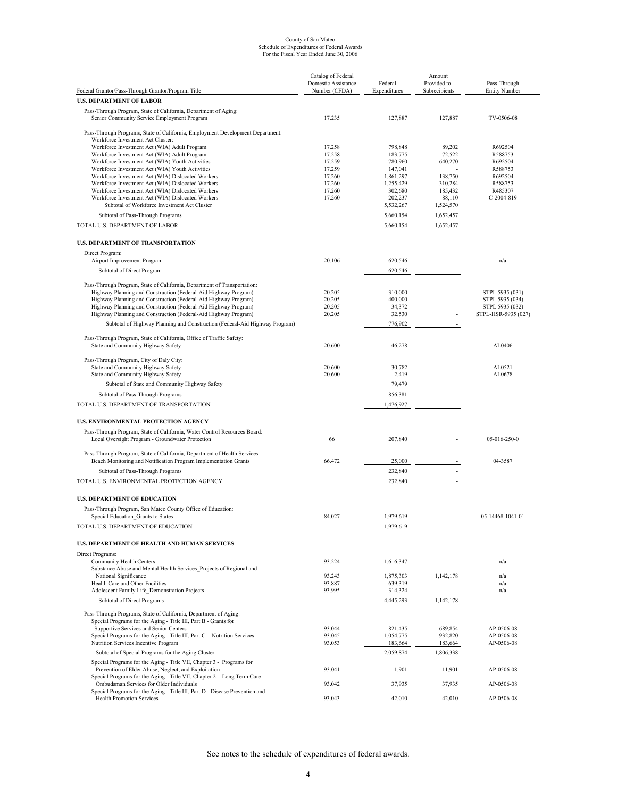# County of San Mateo Schedule of Expenditures of Federal Awards For the Fiscal Year Ended June 30, 2006

|                                                                                                                    | Catalog of Federal                   |                         | Amount                       |                                      |
|--------------------------------------------------------------------------------------------------------------------|--------------------------------------|-------------------------|------------------------------|--------------------------------------|
| Federal Grantor/Pass-Through Grantor/Program Title                                                                 | Domestic Assistance<br>Number (CFDA) | Federal<br>Expenditures | Provided to<br>Subrecipients | Pass-Through<br><b>Entity Number</b> |
| <b>U.S. DEPARTMENT OF LABOR</b>                                                                                    |                                      |                         |                              |                                      |
| Pass-Through Program, State of California, Department of Aging:                                                    |                                      |                         |                              |                                      |
| Senior Community Service Employment Program                                                                        | 17.235                               | 127,887                 | 127,887                      | TV-0506-08                           |
| Pass-Through Programs, State of California, Employment Development Department:                                     |                                      |                         |                              |                                      |
| Workforce Investment Act Cluster:                                                                                  |                                      |                         |                              |                                      |
| Workforce Investment Act (WIA) Adult Program                                                                       | 17.258                               | 798,848                 | 89,202                       | R692504                              |
| Workforce Investment Act (WIA) Adult Program                                                                       | 17.258                               | 183,775                 | 72,522                       | R588753                              |
| Workforce Investment Act (WIA) Youth Activities                                                                    | 17.259                               | 780,960                 | 640,270                      | R692504                              |
| Workforce Investment Act (WIA) Youth Activities                                                                    | 17.259                               | 147,041                 |                              | R588753                              |
| Workforce Investment Act (WIA) Dislocated Workers                                                                  | 17.260<br>17.260                     | 1,861,297               | 138,750                      | R692504<br>R588753                   |
| Workforce Investment Act (WIA) Dislocated Workers<br>Workforce Investment Act (WIA) Dislocated Workers             | 17.260                               | 1,255,429<br>302,680    | 310,284<br>185,432           | R485307                              |
| Workforce Investment Act (WIA) Dislocated Workers                                                                  | 17.260                               | 202,237                 | 88,110                       | C-2004-819                           |
| Subtotal of Workforce Investment Act Cluster                                                                       |                                      | 5,532,267               | 1,524,570                    |                                      |
| Subtotal of Pass-Through Programs                                                                                  |                                      | 5,660,154               | 1,652,457                    |                                      |
|                                                                                                                    |                                      |                         |                              |                                      |
| TOTAL U.S. DEPARTMENT OF LABOR                                                                                     |                                      | 5,660,154               | 1,652,457                    |                                      |
| <b>U.S. DEPARTMENT OF TRANSPORTATION</b>                                                                           |                                      |                         |                              |                                      |
| Direct Program:                                                                                                    |                                      |                         |                              |                                      |
| Airport Improvement Program                                                                                        | 20.106                               | 620,546                 |                              | n/a                                  |
| Subtotal of Direct Program                                                                                         |                                      | 620,546                 |                              |                                      |
| Pass-Through Program, State of California, Department of Transportation:                                           |                                      |                         |                              |                                      |
| Highway Planning and Construction (Federal-Aid Highway Program)                                                    | 20.205                               | 310,000                 |                              | STPL 5935 (031)                      |
| Highway Planning and Construction (Federal-Aid Highway Program)                                                    | 20.205                               | 400,000                 |                              | STPL 5935 (034)                      |
| Highway Planning and Construction (Federal-Aid Highway Program)                                                    | 20.205                               | 34,372                  |                              | STPL 5935 (032)                      |
| Highway Planning and Construction (Federal-Aid Highway Program)                                                    | 20.205                               | 32,530                  |                              | STPL-HSR-5935 (027)                  |
| Subtotal of Highway Planning and Construction (Federal-Aid Highway Program)                                        |                                      | 776,902                 |                              |                                      |
|                                                                                                                    |                                      |                         |                              |                                      |
| Pass-Through Program, State of California, Office of Traffic Safety:<br>State and Community Highway Safety         | 20.600                               | 46,278                  |                              | AL0406                               |
| Pass-Through Program, City of Daly City:                                                                           |                                      |                         |                              |                                      |
| State and Community Highway Safety                                                                                 | 20.600                               | 30,782                  |                              | AL0521                               |
| State and Community Highway Safety                                                                                 | 20.600                               | 2,419                   |                              | AL0678                               |
| Subtotal of State and Community Highway Safety                                                                     |                                      | 79,479                  |                              |                                      |
| Subtotal of Pass-Through Programs                                                                                  |                                      | 856,381                 |                              |                                      |
| TOTAL U.S. DEPARTMENT OF TRANSPORTATION                                                                            |                                      | 1,476,927               |                              |                                      |
|                                                                                                                    |                                      |                         |                              |                                      |
| U.S. ENVIRONMENTAL PROTECTION AGENCY                                                                               |                                      |                         |                              |                                      |
| Pass-Through Program, State of California, Water Control Resources Board:                                          |                                      |                         |                              |                                      |
| Local Oversight Program - Groundwater Protection                                                                   | 66                                   | 207,840                 |                              | 05-016-250-0                         |
|                                                                                                                    |                                      |                         |                              |                                      |
| Pass-Through Program, State of California, Department of Health Services:                                          |                                      |                         |                              |                                      |
| Beach Monitoring and Notification Program Implementation Grants                                                    | 66.472                               | 25,000                  |                              | 04-3587                              |
| Subtotal of Pass-Through Programs                                                                                  |                                      | 232,840                 |                              |                                      |
| TOTAL U.S. ENVIRONMENTAL PROTECTION AGENCY                                                                         |                                      | 232,840                 |                              |                                      |
|                                                                                                                    |                                      |                         |                              |                                      |
| <b>U.S. DEPARTMENT OF EDUCATION</b>                                                                                |                                      |                         |                              |                                      |
| Pass-Through Program, San Mateo County Office of Education:                                                        |                                      |                         |                              |                                      |
| Special Education Grants to States                                                                                 | 84.027                               | 1,979,619               |                              | 05-14468-1041-01                     |
| TOTAL U.S. DEPARTMENT OF EDUCATION                                                                                 |                                      | 1,979,619               |                              |                                      |
|                                                                                                                    |                                      |                         |                              |                                      |
| U.S. DEPARTMENT OF HEALTH AND HUMAN SERVICES                                                                       |                                      |                         |                              |                                      |
| Direct Programs:                                                                                                   |                                      |                         |                              |                                      |
| Community Health Centers                                                                                           | 93.224                               | 1,616,347               |                              | n/a                                  |
| Substance Abuse and Mental Health Services Projects of Regional and                                                |                                      |                         |                              |                                      |
| National Significance                                                                                              | 93.243                               | 1,875,303               | 1,142,178                    | n/a                                  |
| Health Care and Other Facilities<br>Adolescent Family Life Demonstration Projects                                  | 93.887<br>93.995                     | 639,319<br>314,324      |                              | n/a<br>n/a                           |
|                                                                                                                    |                                      |                         |                              |                                      |
| Subtotal of Direct Programs                                                                                        |                                      | 4,445,293               | 1,142,178                    |                                      |
| Pass-Through Programs, State of California, Department of Aging:                                                   |                                      |                         |                              |                                      |
| Special Programs for the Aging - Title III, Part B - Grants for                                                    |                                      |                         |                              |                                      |
| Supportive Services and Senior Centers                                                                             | 93.044                               | 821,435                 | 689,854                      | AP-0506-08                           |
| Special Programs for the Aging - Title III, Part C - Nutrition Services                                            | 93.045                               | 1,054,775               | 932,820                      | AP-0506-08                           |
| Nutrition Services Incentive Program                                                                               | 93.053                               | 183,664                 | 183,664                      | AP-0506-08                           |
| Subtotal of Special Programs for the Aging Cluster                                                                 |                                      | 2,059,874               | 1,806,338                    |                                      |
| Special Programs for the Aging - Title VII, Chapter 3 - Programs for                                               |                                      |                         |                              |                                      |
| Prevention of Elder Abuse, Neglect, and Exploitation                                                               | 93.041                               | 11,901                  | 11,901                       | AP-0506-08                           |
| Special Programs for the Aging - Title VII, Chapter 2 - Long Term Care<br>Ombudsman Services for Older Individuals |                                      |                         |                              |                                      |
| Special Programs for the Aging - Title III, Part D - Disease Prevention and                                        | 93.042                               | 37,935                  | 37,935                       | AP-0506-08                           |
| <b>Health Promotion Services</b>                                                                                   | 93.043                               | 42,010                  | 42,010                       | AP-0506-08                           |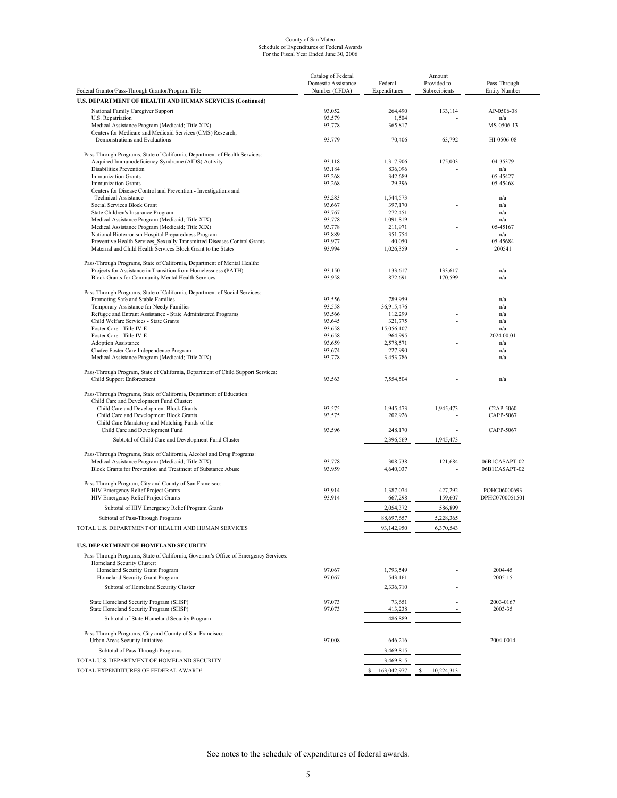# County of San Mateo Schedule of Expenditures of Federal Awards For the Fiscal Year Ended June 30, 2006

|                                                                                                                                         | Catalog of Federal                   |                         | Amount                       |                                      |
|-----------------------------------------------------------------------------------------------------------------------------------------|--------------------------------------|-------------------------|------------------------------|--------------------------------------|
| Federal Grantor/Pass-Through Grantor/Program Title                                                                                      | Domestic Assistance<br>Number (CFDA) | Federal<br>Expenditures | Provided to<br>Subrecipients | Pass-Through<br><b>Entity Number</b> |
| U.S. DEPARTMENT OF HEALTH AND HUMAN SERVICES (Continued)                                                                                |                                      |                         |                              |                                      |
|                                                                                                                                         | 93.052                               | 264,490                 | 133,114                      | AP-0506-08                           |
| National Family Caregiver Support<br>U.S. Repatriation                                                                                  | 93.579                               | 1,504                   |                              | n/a                                  |
| Medical Assistance Program (Medicaid; Title XIX)                                                                                        | 93.778                               | 365,817                 |                              | MS-0506-13                           |
| Centers for Medicare and Medicaid Services (CMS) Research,                                                                              |                                      |                         |                              |                                      |
| Demonstrations and Evaluations                                                                                                          | 93.779                               | 70,406                  | 63,792                       | HI-0506-08                           |
| Pass-Through Programs, State of California, Department of Health Services:                                                              |                                      |                         |                              |                                      |
| Acquired Immunodeficiency Syndrome (AIDS) Activity                                                                                      | 93.118                               | 1,317,906               | 175,003                      | 04-35379                             |
| Disabilities Prevention                                                                                                                 | 93.184                               | 836,096                 |                              | n/a                                  |
| <b>Immunization Grants</b>                                                                                                              | 93.268                               | 342,689                 | ä,                           | 05-45427                             |
| <b>Immunization Grants</b>                                                                                                              | 93.268                               | 29,396                  |                              | 05-45468                             |
| Centers for Disease Control and Prevention - Investigations and<br><b>Technical Assistance</b>                                          | 93.283                               | 1,544,573               |                              | n/a                                  |
| Social Services Block Grant                                                                                                             | 93.667                               | 397,170                 |                              | n/a                                  |
| State Children's Insurance Program                                                                                                      | 93.767                               | 272,451                 |                              | n/a                                  |
| Medical Assistance Program (Medicaid; Title XIX)                                                                                        | 93.778                               | 1,091,819               |                              | n/a                                  |
| Medical Assistance Program (Medicaid; Title XIX)                                                                                        | 93.778                               | 211,971                 |                              | 05-45167                             |
| National Bioterrorism Hospital Preparedness Program                                                                                     | 93.889                               | 351,754                 |                              | n/a                                  |
| Preventive Health Services_Sexually Transmitted Diseases Control Grants<br>Maternal and Child Health Services Block Grant to the States | 93.977                               | 40,050                  |                              | 05-45684                             |
|                                                                                                                                         | 93.994                               | 1,026,359               |                              | 200541                               |
| Pass-Through Programs, State of California, Department of Mental Health:                                                                |                                      |                         |                              |                                      |
| Projects for Assistance in Transition from Homelessness (PATH)                                                                          | 93.150                               | 133,617                 | 133,617                      | n/a                                  |
| Block Grants for Community Mental Health Services                                                                                       | 93.958                               | 872,691                 | 170,599                      | n/a                                  |
|                                                                                                                                         |                                      |                         |                              |                                      |
| Pass-Through Programs, State of California, Department of Social Services:<br>Promoting Safe and Stable Families                        | 93.556                               | 789,959                 |                              | n/a                                  |
| Temporary Assistance for Needy Families                                                                                                 | 93.558                               | 36,915,476              |                              | n/a                                  |
| Refugee and Entrant Assistance - State Administered Programs                                                                            | 93.566                               | 112,299                 |                              | n/a                                  |
| Child Welfare Services - State Grants                                                                                                   | 93.645                               | 321,775                 | ÷                            | n/a                                  |
| Foster Care - Title IV-E                                                                                                                | 93.658                               | 15,056,107              |                              | n/a                                  |
| Foster Care - Title IV-E                                                                                                                | 93.658                               | 964,995                 |                              | 2024.00.01                           |
| <b>Adoption Assistance</b>                                                                                                              | 93.659                               | 2,578,571               |                              | n/a                                  |
| Chafee Foster Care Independence Program<br>Medical Assistance Program (Medicaid; Title XIX)                                             | 93.674<br>93.778                     | 227,990<br>3,453,786    |                              | n/a<br>n/a                           |
|                                                                                                                                         |                                      |                         |                              |                                      |
| Pass-Through Program, State of California, Department of Child Support Services:                                                        |                                      |                         |                              |                                      |
| Child Support Enforcement                                                                                                               | 93.563                               | 7,554,504               |                              | n/a                                  |
|                                                                                                                                         |                                      |                         |                              |                                      |
| Pass-Through Programs, State of California, Department of Education:                                                                    |                                      |                         |                              |                                      |
| Child Care and Development Fund Cluster:<br>Child Care and Development Block Grants                                                     | 93.575                               | 1,945,473               | 1,945,473                    | C <sub>2</sub> AP-5060               |
| Child Care and Development Block Grants                                                                                                 | 93.575                               | 202,926                 |                              | CAPP-5067                            |
| Child Care Mandatory and Matching Funds of the                                                                                          |                                      |                         |                              |                                      |
| Child Care and Development Fund                                                                                                         | 93.596                               | 248,170                 |                              | CAPP-5067                            |
| Subtotal of Child Care and Development Fund Cluster                                                                                     |                                      | 2,396,569               | 1,945,473                    |                                      |
|                                                                                                                                         |                                      |                         |                              |                                      |
| Pass-Through Programs, State of California, Alcohol and Drug Programs:                                                                  |                                      |                         |                              |                                      |
| Medical Assistance Program (Medicaid; Title XIX)                                                                                        | 93.778                               | 308,738                 | 121,684                      | 06B1CASAPT-02                        |
| Block Grants for Prevention and Treatment of Substance Abuse                                                                            | 93.959                               | 4,640,037               |                              | 06B1CASAPT-02                        |
| Pass-Through Program, City and County of San Francisco:                                                                                 |                                      |                         |                              |                                      |
| HIV Emergency Relief Project Grants                                                                                                     | 93.914                               | 1,387,074               | 427,292                      | POHC06000693                         |
| HIV Emergency Relief Project Grants                                                                                                     | 93.914                               | 667,298                 | 159,607                      | DPHC0700051501                       |
| Subtotal of HIV Emergency Relief Program Grants                                                                                         |                                      | 2,054,372               | 586,899                      |                                      |
| Subtotal of Pass-Through Programs                                                                                                       |                                      | 88,697,657              | 5,228,365                    |                                      |
|                                                                                                                                         |                                      |                         |                              |                                      |
| TOTAL U.S. DEPARTMENT OF HEALTH AND HUMAN SERVICES                                                                                      |                                      | 93,142,950              | 6,370,543                    |                                      |
|                                                                                                                                         |                                      |                         |                              |                                      |
| U.S. DEPARTMENT OF HOMELAND SECURITY                                                                                                    |                                      |                         |                              |                                      |
| Pass-Through Programs, State of California, Governor's Office of Emergency Services:                                                    |                                      |                         |                              |                                      |
| Homeland Security Cluster:<br>Homeland Security Grant Program                                                                           | 97.067                               | 1,793,549               |                              | 2004-45                              |
| Homeland Security Grant Program                                                                                                         | 97.067                               | 543,161                 |                              | 2005-15                              |
| Subtotal of Homeland Security Cluster                                                                                                   |                                      | 2,336,710               |                              |                                      |
|                                                                                                                                         |                                      |                         |                              |                                      |
| State Homeland Security Program (SHSP)                                                                                                  | 97.073                               | 73,651                  |                              | 2003-0167                            |
| State Homeland Security Program (SHSP)                                                                                                  | 97.073                               | 413,238                 |                              | 2003-35                              |
| Subtotal of State Homeland Security Program                                                                                             |                                      | 486,889                 |                              |                                      |
|                                                                                                                                         |                                      |                         |                              |                                      |
| Pass-Through Programs, City and County of San Francisco:                                                                                |                                      |                         |                              |                                      |
| Urban Areas Security Initiative                                                                                                         | 97.008                               | 646,216                 |                              | 2004-0014                            |
| Subtotal of Pass-Through Programs                                                                                                       |                                      | 3,469,815               |                              |                                      |
| TOTAL U.S. DEPARTMENT OF HOMELAND SECURITY                                                                                              |                                      | 3,469,815               |                              |                                      |
| TOTAL EXPENDITURES OF FEDERAL AWARDS                                                                                                    |                                      | 163,042,977<br>S        | 10,224,313<br>ς              |                                      |
|                                                                                                                                         |                                      |                         |                              |                                      |

See notes to the schedule of expenditures of federal awards.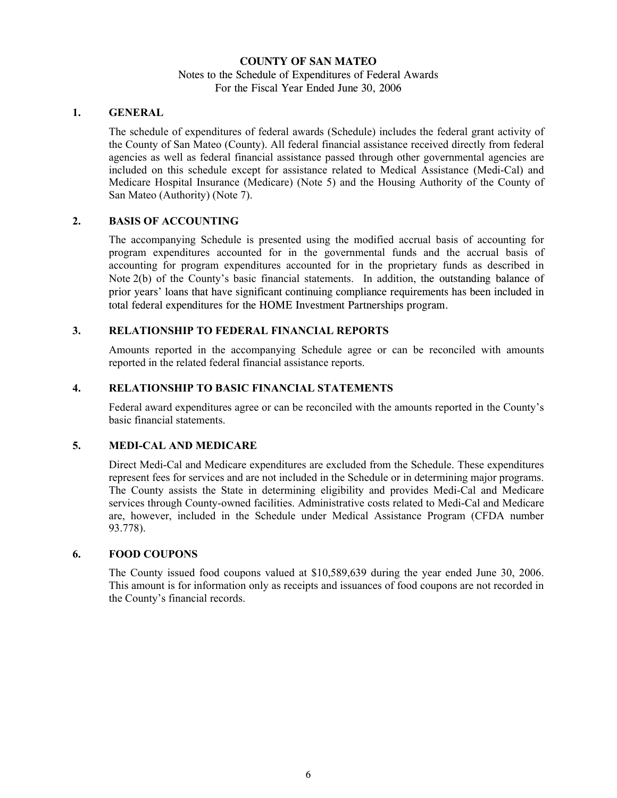#### Notes to the Schedule of Expenditures of Federal Awards For the Fiscal Year Ended June 30, 2006

#### **1. GENERAL**

The schedule of expenditures of federal awards (Schedule) includes the federal grant activity of the County of San Mateo (County). All federal financial assistance received directly from federal agencies as well as federal financial assistance passed through other governmental agencies are included on this schedule except for assistance related to Medical Assistance (Medi-Cal) and Medicare Hospital Insurance (Medicare) (Note 5) and the Housing Authority of the County of San Mateo (Authority) (Note 7).

#### **2. BASIS OF ACCOUNTING**

The accompanying Schedule is presented using the modified accrual basis of accounting for program expenditures accounted for in the governmental funds and the accrual basis of accounting for program expenditures accounted for in the proprietary funds as described in Note 2(b) of the County's basic financial statements. In addition, the outstanding balance of prior years' loans that have significant continuing compliance requirements has been included in total federal expenditures for the HOME Investment Partnerships program.

#### **3. RELATIONSHIP TO FEDERAL FINANCIAL REPORTS**

Amounts reported in the accompanying Schedule agree or can be reconciled with amounts reported in the related federal financial assistance reports.

#### **4. RELATIONSHIP TO BASIC FINANCIAL STATEMENTS**

Federal award expenditures agree or can be reconciled with the amounts reported in the County's basic financial statements.

#### **5. MEDI-CAL AND MEDICARE**

Direct Medi-Cal and Medicare expenditures are excluded from the Schedule. These expenditures represent fees for services and are not included in the Schedule or in determining major programs. The County assists the State in determining eligibility and provides Medi-Cal and Medicare services through County-owned facilities. Administrative costs related to Medi-Cal and Medicare are, however, included in the Schedule under Medical Assistance Program (CFDA number 93.778).

#### **6. FOOD COUPONS**

The County issued food coupons valued at \$10,589,639 during the year ended June 30, 2006. This amount is for information only as receipts and issuances of food coupons are not recorded in the County's financial records.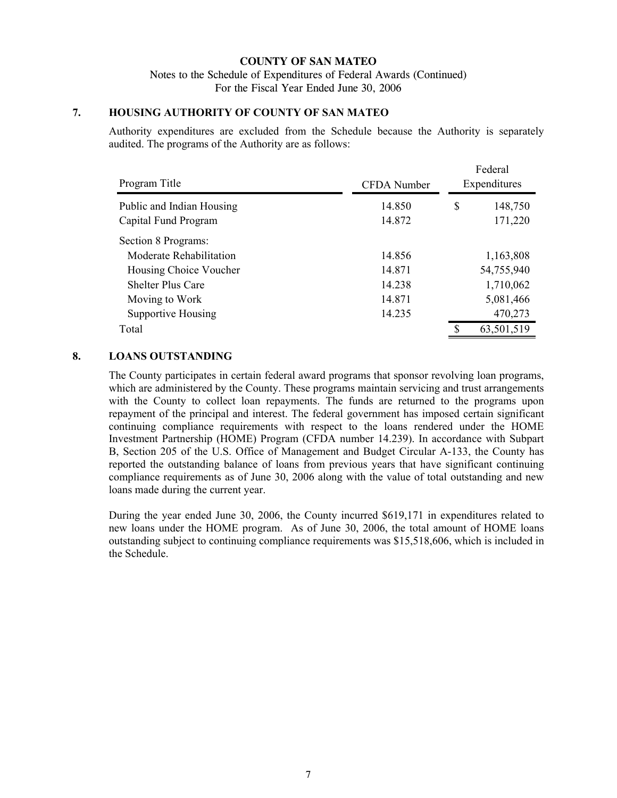Notes to the Schedule of Expenditures of Federal Awards (Continued) For the Fiscal Year Ended June 30, 2006

#### **7. HOUSING AUTHORITY OF COUNTY OF SAN MATEO**

Authority expenditures are excluded from the Schedule because the Authority is separately audited. The programs of the Authority are as follows:

| Program Title                                     | CFDA Number      | Federal<br>Expenditures  |
|---------------------------------------------------|------------------|--------------------------|
| Public and Indian Housing<br>Capital Fund Program | 14.850<br>14.872 | \$<br>148,750<br>171,220 |
| Section 8 Programs:                               |                  |                          |
| Moderate Rehabilitation<br>Housing Choice Voucher | 14.856<br>14.871 | 1,163,808<br>54,755,940  |
| <b>Shelter Plus Care</b><br>Moving to Work        | 14.238<br>14.871 | 1,710,062<br>5,081,466   |
| Supportive Housing                                | 14.235           | 470,273                  |
| Total                                             |                  | 63,501,519               |

#### **8. LOANS OUTSTANDING**

The County participates in certain federal award programs that sponsor revolving loan programs, which are administered by the County. These programs maintain servicing and trust arrangements with the County to collect loan repayments. The funds are returned to the programs upon repayment of the principal and interest. The federal government has imposed certain significant continuing compliance requirements with respect to the loans rendered under the HOME Investment Partnership (HOME) Program (CFDA number 14.239). In accordance with Subpart B, Section 205 of the U.S. Office of Management and Budget Circular A-133, the County has reported the outstanding balance of loans from previous years that have significant continuing compliance requirements as of June 30, 2006 along with the value of total outstanding and new loans made during the current year.

During the year ended June 30, 2006, the County incurred \$619,171 in expenditures related to new loans under the HOME program. As of June 30, 2006, the total amount of HOME loans outstanding subject to continuing compliance requirements was \$15,518,606, which is included in the Schedule.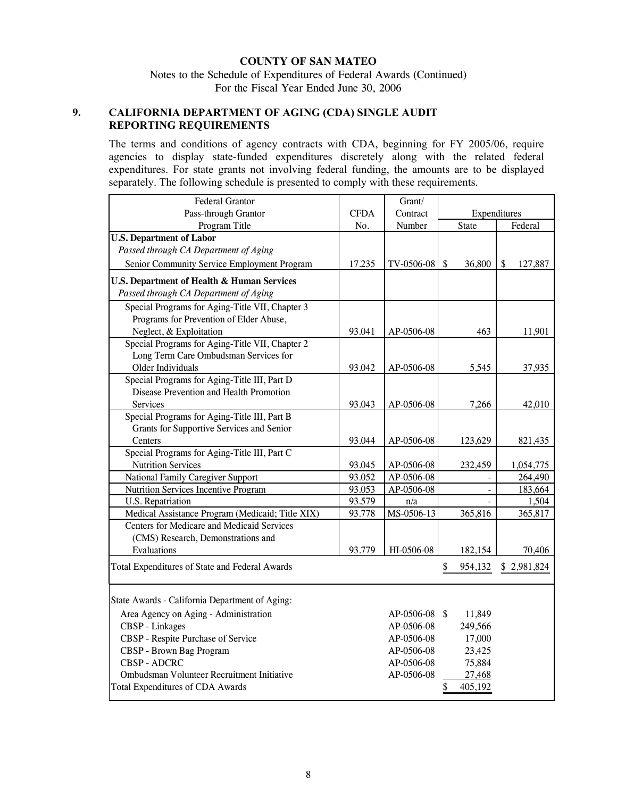Notes to the Schedule of Expenditures of Federal Awards (Continued) For the Fiscal Year Ended June 30, 2006

## **9. CALIFORNIA DEPARTMENT OF AGING (CDA) SINGLE AUDIT REPORTING REQUIREMENTS**

The terms and conditions of agency contracts with CDA, beginning for FY 2005/06, require agencies to display state-funded expenditures discretely along with the related federal expenditures. For state grants not involving federal funding, the amounts are to be displayed separately. The following schedule is presented to comply with these requirements.

| Federal Grantor                                       |             | Grant/          |               |                                      |  |
|-------------------------------------------------------|-------------|-----------------|---------------|--------------------------------------|--|
| Pass-through Grantor                                  | <b>CFDA</b> | Contract        | Expenditures  |                                      |  |
| Program Title                                         | No.         | Number          | <b>State</b>  | Federal                              |  |
| <b>U.S. Department of Labor</b>                       |             |                 |               |                                      |  |
| Passed through CA Department of Aging                 |             |                 |               |                                      |  |
| Senior Community Service Employment Program           | 17.235      | $TV-0506-08$ \$ | 36,800        | $\boldsymbol{\mathsf{S}}$<br>127,887 |  |
| <b>U.S. Department of Health &amp; Human Services</b> |             |                 |               |                                      |  |
| Passed through CA Department of Aging                 |             |                 |               |                                      |  |
| Special Programs for Aging-Title VII, Chapter 3       |             |                 |               |                                      |  |
| Programs for Prevention of Elder Abuse,               |             |                 |               |                                      |  |
| Neglect, & Exploitation                               | 93.041      | AP-0506-08      | 463           | 11,901                               |  |
| Special Programs for Aging-Title VII, Chapter 2       |             |                 |               |                                      |  |
| Long Term Care Ombudsman Services for                 |             |                 |               |                                      |  |
| Older Individuals                                     | 93.042      | AP-0506-08      | 5,545         | 37,935                               |  |
| Special Programs for Aging-Title III, Part D          |             |                 |               |                                      |  |
| Disease Prevention and Health Promotion               |             |                 |               |                                      |  |
| Services                                              | 93.043      | AP-0506-08      | 7,266         | 42,010                               |  |
| Special Programs for Aging-Title III, Part B          |             |                 |               |                                      |  |
| Grants for Supportive Services and Senior             |             |                 |               |                                      |  |
| Centers                                               | 93.044      | AP-0506-08      | 123,629       | 821,435                              |  |
| Special Programs for Aging-Title III, Part C          |             |                 |               |                                      |  |
| <b>Nutrition Services</b>                             | 93.045      | AP-0506-08      | 232,459       | 1,054,775                            |  |
| <b>National Family Caregiver Support</b>              | 93.052      | AP-0506-08      |               | 264,490                              |  |
| <b>Nutrition Services Incentive Program</b>           | 93.053      | AP-0506-08      |               | 183,664                              |  |
| U.S. Repatriation                                     | 93.579      | n/a             |               | 1,504                                |  |
| Medical Assistance Program (Medicaid; Title XIX)      | 93.778      | MS-0506-13      | 365,816       | 365,817                              |  |
| Centers for Medicare and Medicaid Services            |             |                 |               |                                      |  |
| (CMS) Research, Demonstrations and                    |             |                 |               |                                      |  |
| Evaluations                                           | 93.779      | HI-0506-08      | 182,154       | 70,406                               |  |
| Total Expenditures of State and Federal Awards        |             |                 | \$<br>954,132 | \$2,981,824                          |  |
|                                                       |             |                 |               |                                      |  |
| State Awards - California Department of Aging:        |             |                 |               |                                      |  |
| Area Agency on Aging - Administration                 |             | AP-0506-08 \$   | 11,849        |                                      |  |
| CBSP - Linkages                                       |             | AP-0506-08      | 249,566       |                                      |  |
| CBSP - Respite Purchase of Service                    |             | AP-0506-08      | 17,000        |                                      |  |
| CBSP - Brown Bag Program                              |             | AP-0506-08      | 23,425        |                                      |  |
| <b>CBSP - ADCRC</b>                                   |             | AP-0506-08      | 75,884        |                                      |  |
| Ombudsman Volunteer Recruitment Initiative            |             | AP-0506-08      | 27,468        |                                      |  |
| Total Expenditures of CDA Awards                      |             |                 | \$<br>405,192 |                                      |  |
|                                                       |             |                 |               |                                      |  |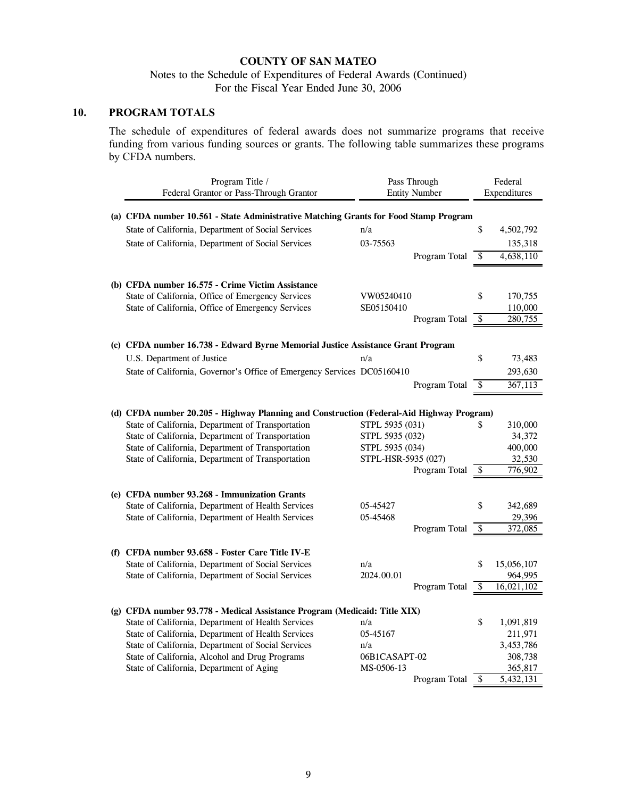## Notes to the Schedule of Expenditures of Federal Awards (Continued) For the Fiscal Year Ended June 30, 2006

#### **10. PROGRAM TOTALS**

The schedule of expenditures of federal awards does not summarize programs that receive funding from various funding sources or grants. The following table summarizes these programs by CFDA numbers.

| Program Title /<br>Federal Grantor or Pass-Through Grantor                               | Pass Through<br><b>Entity Number</b> |               |                          | Federal<br>Expenditures |
|------------------------------------------------------------------------------------------|--------------------------------------|---------------|--------------------------|-------------------------|
| (a) CFDA number 10.561 - State Administrative Matching Grants for Food Stamp Program     |                                      |               |                          |                         |
| State of California, Department of Social Services                                       | n/a                                  |               | \$                       | 4,502,792               |
| State of California, Department of Social Services                                       | 03-75563                             |               |                          | 135,318                 |
|                                                                                          |                                      | Program Total | \$                       | 4,638,110               |
|                                                                                          |                                      |               |                          |                         |
| (b) CFDA number 16.575 - Crime Victim Assistance                                         |                                      |               |                          |                         |
| State of California, Office of Emergency Services                                        | VW05240410                           |               | \$                       | 170,755                 |
| State of California, Office of Emergency Services                                        | SE05150410                           |               |                          | 110,000                 |
|                                                                                          |                                      | Program Total | - \$                     | 280,755                 |
| (c) CFDA number 16.738 - Edward Byrne Memorial Justice Assistance Grant Program          |                                      |               |                          |                         |
| U.S. Department of Justice                                                               | n/a                                  |               | \$                       | 73,483                  |
| State of California, Governor's Office of Emergency Services DC05160410                  |                                      |               |                          | 293,630                 |
|                                                                                          |                                      | Program Total | \$                       | 367,113                 |
|                                                                                          |                                      |               |                          |                         |
| (d) CFDA number 20.205 - Highway Planning and Construction (Federal-Aid Highway Program) |                                      |               |                          |                         |
| State of California, Department of Transportation                                        | STPL 5935 (031)                      |               | \$                       | 310,000                 |
| State of California, Department of Transportation                                        | STPL 5935 (032)                      |               |                          | 34,372                  |
| State of California, Department of Transportation                                        | STPL 5935 (034)                      |               |                          | 400,000                 |
| State of California, Department of Transportation                                        | STPL-HSR-5935 (027)                  |               |                          | 32,530                  |
|                                                                                          |                                      | Program Total | $\boldsymbol{\$}$        | 776,902                 |
| (e) CFDA number 93.268 - Immunization Grants                                             |                                      |               |                          |                         |
| State of California, Department of Health Services                                       | 05-45427                             |               | \$                       | 342,689                 |
| State of California, Department of Health Services                                       | 05-45468                             |               |                          | 29,396                  |
|                                                                                          |                                      | Program Total | $\overline{\mathcal{S}}$ | 372,085                 |
| (f) CFDA number 93.658 - Foster Care Title IV-E                                          |                                      |               |                          |                         |
| State of California, Department of Social Services                                       | n/a                                  |               | \$                       | 15,056,107              |
| State of California, Department of Social Services                                       | 2024.00.01                           |               |                          | 964,995                 |
|                                                                                          |                                      | Program Total | \$                       | 16,021,102              |
| (g) CFDA number 93.778 - Medical Assistance Program (Medicaid: Title XIX)                |                                      |               |                          |                         |
| State of California, Department of Health Services                                       | n/a                                  |               | \$                       | 1,091,819               |
| State of California, Department of Health Services                                       | 05-45167                             |               |                          | 211,971                 |
| State of California, Department of Social Services                                       | n/a                                  |               |                          | 3,453,786               |
| State of California, Alcohol and Drug Programs                                           | 06B1CASAPT-02                        |               |                          | 308,738                 |
| State of California, Department of Aging                                                 | MS-0506-13                           |               |                          | 365,817                 |
|                                                                                          |                                      | Program Total | \$                       | 5,432,131               |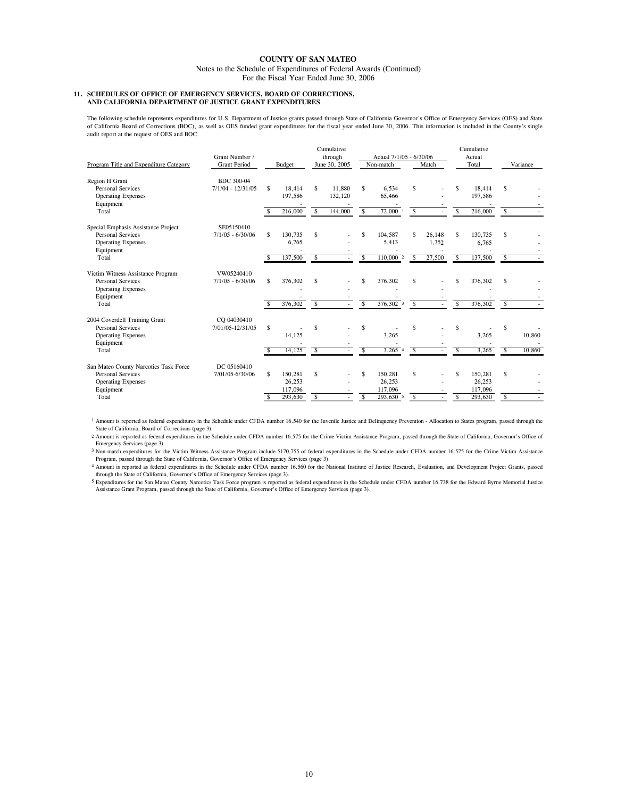#### **COUNTY OF SAN MATEO** Notes to the Schedule of Expenditures of Federal Awards (Continued) For the Fiscal Year Ended June 30, 2006

#### **11. SCHEDULES OF OFFICE OF EMERGENCY SERVICES, BOARD OF CORRECTIONS, AND CALIFORNIA DEPARTMENT OF JUSTICE GRANT EXPENDITURES**

The following schedule represents expenditures for U.S. Department of Justice grants passed through State of California Governor's Office of Emergency Services (OES) and State<br>of California Board of Corrections (BOC), as w

|                                                                    | Grant Number /      |     |                              |              | Cumulative<br>through |     | Actual 7/1/05 - 6/30/06      |              |                 |    | Cumulative<br>Actual         |              |          |
|--------------------------------------------------------------------|---------------------|-----|------------------------------|--------------|-----------------------|-----|------------------------------|--------------|-----------------|----|------------------------------|--------------|----------|
| Program Title and Expenditure Category                             | <b>Grant Period</b> |     | <b>Budget</b>                |              | June 30, 2005         |     | Non-match                    |              | Match           |    | Total                        |              | Variance |
| Region H Grant                                                     | <b>BDC</b> 300-04   |     |                              |              |                       |     |                              |              |                 |    |                              |              |          |
| <b>Personal Services</b><br><b>Operating Expenses</b><br>Equipment | $7/1/04 - 12/31/05$ | \$. | 18.414<br>197,586            | \$           | 11.880<br>132,120     | \$  | 6,534<br>65,466              | \$           |                 | \$ | 18.414<br>197,586            | \$           |          |
| Total                                                              |                     |     | 216,000                      | S            | 144,000               | S   | $72,000$ <sup>1</sup>        | $\sqrt{s}$   |                 | \$ | 216,000                      | \$           |          |
| Special Emphasis Assistance Project                                | SE05150410          |     |                              |              |                       |     |                              |              |                 |    |                              |              |          |
| Personal Services<br><b>Operating Expenses</b><br>Equipment        | $7/1/05 - 6/30/06$  | \$. | 130,735<br>6,765             | \$           |                       | \$. | 104.587<br>5,413             | \$           | 26.148<br>1,352 | \$ | 130,735<br>6,765             | \$           |          |
| Total                                                              |                     |     | 137,500                      | \$           |                       | S   | 110,000<br>$\overline{2}$    | \$           | 27,500          | \$ | 137,500                      | $\mathsf{s}$ |          |
| Victim Witness Assistance Program                                  | VW05240410          |     |                              |              |                       |     |                              |              |                 |    |                              |              |          |
| <b>Personal Services</b><br><b>Operating Expenses</b><br>Equipment | $7/1/05 - 6/30/06$  | \$  | 376,302                      | \$           |                       | \$  | 376,302                      | \$           |                 | \$ | 376,302                      | \$           |          |
| Total                                                              |                     | £.  | 376,302                      | \$           |                       | \$  | $376.302$ <sup>3</sup>       | $\mathbf{s}$ |                 | \$ | 376,302                      | $\mathbb{S}$ |          |
| 2004 Coverdell Training Grant                                      | CO 04030410         |     |                              |              |                       |     |                              |              |                 |    |                              |              |          |
| Personal Services<br><b>Operating Expenses</b><br>Equipment        | 7/01/05-12/31/05    | \$  | 14,125                       | \$           |                       | \$  | 3,265                        | \$           |                 | \$ | 3,265                        | \$           | 10,860   |
| Total                                                              |                     | £.  | 14,125                       | $\mathsf{s}$ |                       | s   | $3,265$ 4                    | $\mathsf{s}$ |                 | s  | 3,265                        | $\mathsf{s}$ | 10,860   |
| San Mateo County Narcotics Task Force                              | DC 05160410         |     |                              |              |                       |     |                              |              |                 |    |                              |              |          |
| <b>Personal Services</b><br><b>Operating Expenses</b><br>Equipment | 7/01/05-6/30/06     | \$. | 150,281<br>26,253<br>117,096 | \$           |                       | \$  | 150,281<br>26,253<br>117,096 | \$           |                 | \$ | 150,281<br>26,253<br>117,096 | \$           |          |
| Total                                                              |                     |     | 293,630                      | S            |                       | S   | $293,630$ 5                  | \$           |                 | \$ | 293,630                      | \$           |          |

<sup>1</sup> Amount is reported as federal expenditures in the Schedule under CFDA number 16.540 for the Juvenile Justice and Delinquency Prevention - Allocation to States program, passed through the State of California, Board of Corrections (page 3).

2 Amount is reported as federal expenditures in the Schedule under CFDA number 16.575 for the Crime Victim Assistance Program, passed through the State of California, Governor's Office of Emergency Services (page 3).

<sup>3</sup> Non-match expenditures for the Victim Witness Assistance Program include \$170,755 of federal expenditures in the Schedule under CFDA number 16.575 for the Crime Victim Assistance

Program, passed through the State of California, Governor's Office of Emergency Services (page 3).<br><sup>4</sup> Amount is reported as federal expenditures in the Schedule under CFDA number 16.560 for the National Institute of Justi through the State of California, Governor's Office of Emergency Services (page 3).

<sup>5</sup> Expenditures for the San Mateo County Narcotics Task Force program is reported as federal expenditures in the Schedule under CFDA number 16.738 for the Edward Byrne Memorial Justice<br>Assistance Grant Program, passed thr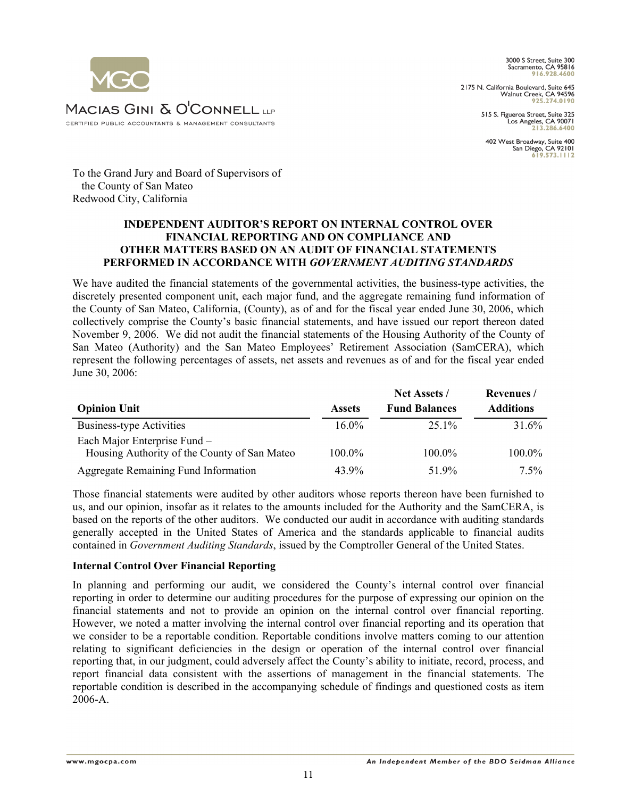

3000 S Street, Suite 300 Source 5 Street, State 300 916.928.4600

2175 N. California Boulevard, Suite 645<br>Walnut Creek, CA 94596 925.274.0190

515 S. Figueroa Street, Suite 325<br>Los Angeles, CA 90071<br>213.286.6400

402 West Broadway, Suite 400<br>San Diego, CA 92101<br>619.573.1112

To the Grand Jury and Board of Supervisors of the County of San Mateo Redwood City, California

#### **INDEPENDENT AUDITOR'S REPORT ON INTERNAL CONTROL OVER FINANCIAL REPORTING AND ON COMPLIANCE AND OTHER MATTERS BASED ON AN AUDIT OF FINANCIAL STATEMENTS PERFORMED IN ACCORDANCE WITH** *GOVERNMENT AUDITING STANDARDS*

We have audited the financial statements of the governmental activities, the business-type activities, the discretely presented component unit, each major fund, and the aggregate remaining fund information of the County of San Mateo, California, (County), as of and for the fiscal year ended June 30, 2006, which collectively comprise the County's basic financial statements, and have issued our report thereon dated November 9, 2006. We did not audit the financial statements of the Housing Authority of the County of San Mateo (Authority) and the San Mateo Employees' Retirement Association (SamCERA), which represent the following percentages of assets, net assets and revenues as of and for the fiscal year ended June 30, 2006:

|                                              |               | Net Assets /         | Revenues /       |
|----------------------------------------------|---------------|----------------------|------------------|
| <b>Opinion Unit</b>                          | <b>Assets</b> | <b>Fund Balances</b> | <b>Additions</b> |
| <b>Business-type Activities</b>              | $16.0\%$      | $25.1\%$             | 31.6%            |
| Each Major Enterprise Fund -                 |               |                      |                  |
| Housing Authority of the County of San Mateo | 100.0%        | 100.0%               | $100.0\%$        |
| Aggregate Remaining Fund Information         | 43.9%         | 51.9%                | $7.5\%$          |

Those financial statements were audited by other auditors whose reports thereon have been furnished to us, and our opinion, insofar as it relates to the amounts included for the Authority and the SamCERA, is based on the reports of the other auditors. We conducted our audit in accordance with auditing standards generally accepted in the United States of America and the standards applicable to financial audits contained in *Government Auditing Standards*, issued by the Comptroller General of the United States.

#### **Internal Control Over Financial Reporting**

In planning and performing our audit, we considered the County's internal control over financial reporting in order to determine our auditing procedures for the purpose of expressing our opinion on the financial statements and not to provide an opinion on the internal control over financial reporting. However, we noted a matter involving the internal control over financial reporting and its operation that we consider to be a reportable condition. Reportable conditions involve matters coming to our attention relating to significant deficiencies in the design or operation of the internal control over financial reporting that, in our judgment, could adversely affect the County's ability to initiate, record, process, and report financial data consistent with the assertions of management in the financial statements. The reportable condition is described in the accompanying schedule of findings and questioned costs as item 2006-A.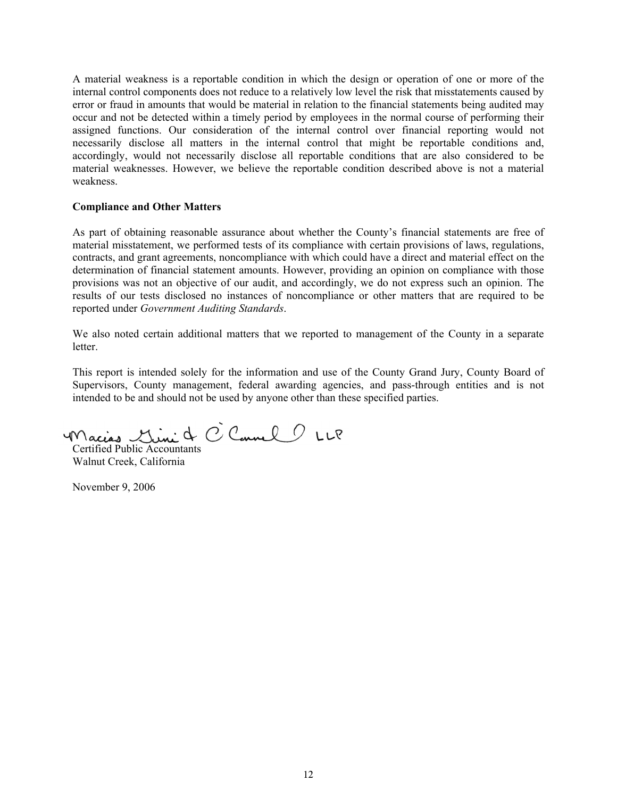A material weakness is a reportable condition in which the design or operation of one or more of the internal control components does not reduce to a relatively low level the risk that misstatements caused by error or fraud in amounts that would be material in relation to the financial statements being audited may occur and not be detected within a timely period by employees in the normal course of performing their assigned functions. Our consideration of the internal control over financial reporting would not necessarily disclose all matters in the internal control that might be reportable conditions and, accordingly, would not necessarily disclose all reportable conditions that are also considered to be material weaknesses. However, we believe the reportable condition described above is not a material weakness.

#### **Compliance and Other Matters**

As part of obtaining reasonable assurance about whether the County's financial statements are free of material misstatement, we performed tests of its compliance with certain provisions of laws, regulations, contracts, and grant agreements, noncompliance with which could have a direct and material effect on the determination of financial statement amounts. However, providing an opinion on compliance with those provisions was not an objective of our audit, and accordingly, we do not express such an opinion. The results of our tests disclosed no instances of noncompliance or other matters that are required to be reported under *Government Auditing Standards*.

We also noted certain additional matters that we reported to management of the County in a separate letter.

This report is intended solely for the information and use of the County Grand Jury, County Board of Supervisors, County management, federal awarding agencies, and pass-through entities and is not intended to be and should not be used by anyone other than these specified parties.

Macias Lini & C Connel 14

Walnut Creek, California

November 9, 2006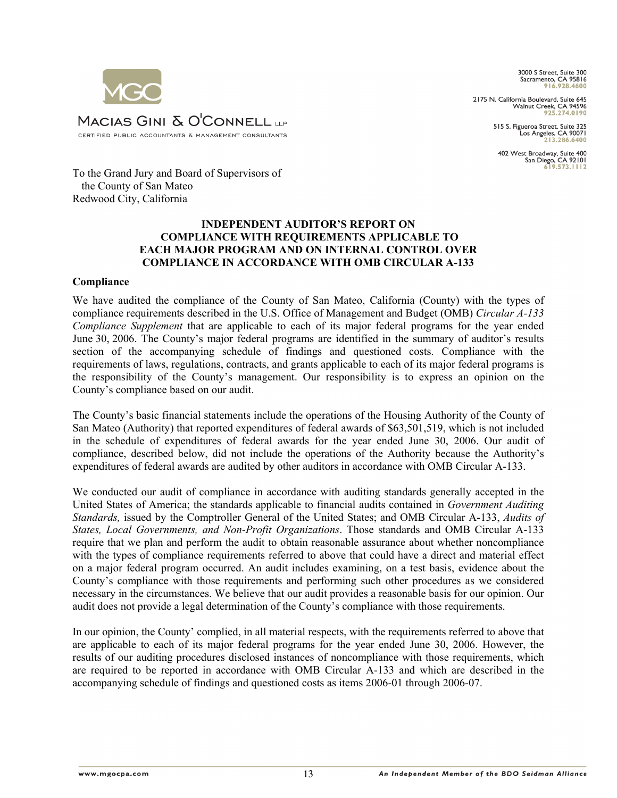

3000 S Street, Suite 300 Sacramento, CA 95816 916.928.4600

2175 N. California Boulevard, Suite 645 Walnut Creek, CA 94596 925.274.0190

> 515 S. Figueroa Street, Suite 325<br>Los Angeles, CA 90071 213.286.6400

402 West Broadway, Suite 400<br>San Diego, CA 92101<br>619.573.1112

To the Grand Jury and Board of Supervisors of the County of San Mateo Redwood City, California

#### **INDEPENDENT AUDITOR'S REPORT ON COMPLIANCE WITH REQUIREMENTS APPLICABLE TO EACH MAJOR PROGRAM AND ON INTERNAL CONTROL OVER COMPLIANCE IN ACCORDANCE WITH OMB CIRCULAR A-133**

#### **Compliance**

We have audited the compliance of the County of San Mateo, California (County) with the types of compliance requirements described in the U.S. Office of Management and Budget (OMB) *Circular A-133 Compliance Supplement* that are applicable to each of its major federal programs for the year ended June 30, 2006. The County's major federal programs are identified in the summary of auditor's results section of the accompanying schedule of findings and questioned costs. Compliance with the requirements of laws, regulations, contracts, and grants applicable to each of its major federal programs is the responsibility of the County's management. Our responsibility is to express an opinion on the County's compliance based on our audit.

The County's basic financial statements include the operations of the Housing Authority of the County of San Mateo (Authority) that reported expenditures of federal awards of \$63,501,519, which is not included in the schedule of expenditures of federal awards for the year ended June 30, 2006. Our audit of compliance, described below, did not include the operations of the Authority because the Authority's expenditures of federal awards are audited by other auditors in accordance with OMB Circular A-133.

We conducted our audit of compliance in accordance with auditing standards generally accepted in the United States of America; the standards applicable to financial audits contained in *Government Auditing Standards,* issued by the Comptroller General of the United States; and OMB Circular A-133, *Audits of States, Local Governments, and Non-Profit Organizations*. Those standards and OMB Circular A-133 require that we plan and perform the audit to obtain reasonable assurance about whether noncompliance with the types of compliance requirements referred to above that could have a direct and material effect on a major federal program occurred. An audit includes examining, on a test basis, evidence about the County's compliance with those requirements and performing such other procedures as we considered necessary in the circumstances. We believe that our audit provides a reasonable basis for our opinion. Our audit does not provide a legal determination of the County's compliance with those requirements.

In our opinion, the County' complied, in all material respects, with the requirements referred to above that are applicable to each of its major federal programs for the year ended June 30, 2006. However, the results of our auditing procedures disclosed instances of noncompliance with those requirements, which are required to be reported in accordance with OMB Circular A-133 and which are described in the accompanying schedule of findings and questioned costs as items 2006-01 through 2006-07.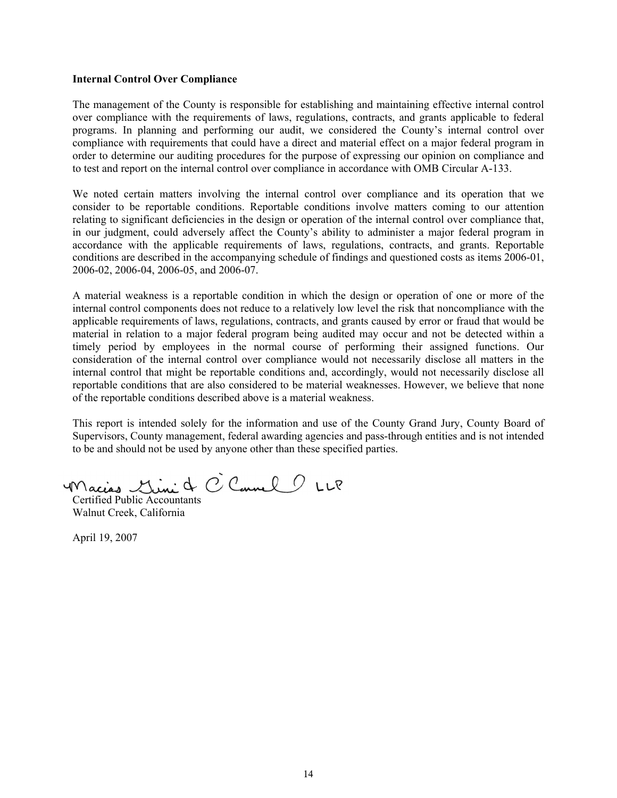#### **Internal Control Over Compliance**

The management of the County is responsible for establishing and maintaining effective internal control over compliance with the requirements of laws, regulations, contracts, and grants applicable to federal programs. In planning and performing our audit, we considered the County's internal control over compliance with requirements that could have a direct and material effect on a major federal program in order to determine our auditing procedures for the purpose of expressing our opinion on compliance and to test and report on the internal control over compliance in accordance with OMB Circular A-133.

We noted certain matters involving the internal control over compliance and its operation that we consider to be reportable conditions. Reportable conditions involve matters coming to our attention relating to significant deficiencies in the design or operation of the internal control over compliance that, in our judgment, could adversely affect the County's ability to administer a major federal program in accordance with the applicable requirements of laws, regulations, contracts, and grants. Reportable conditions are described in the accompanying schedule of findings and questioned costs as items 2006-01, 2006-02, 2006-04, 2006-05, and 2006-07.

A material weakness is a reportable condition in which the design or operation of one or more of the internal control components does not reduce to a relatively low level the risk that noncompliance with the applicable requirements of laws, regulations, contracts, and grants caused by error or fraud that would be material in relation to a major federal program being audited may occur and not be detected within a timely period by employees in the normal course of performing their assigned functions. Our consideration of the internal control over compliance would not necessarily disclose all matters in the internal control that might be reportable conditions and, accordingly, would not necessarily disclose all reportable conditions that are also considered to be material weaknesses. However, we believe that none of the reportable conditions described above is a material weakness.

This report is intended solely for the information and use of the County Grand Jury, County Board of Supervisors, County management, federal awarding agencies and pass-through entities and is not intended to be and should not be used by anyone other than these specified parties.

Macien Mini & C Connel 1 LLP

Walnut Creek, California

April 19, 2007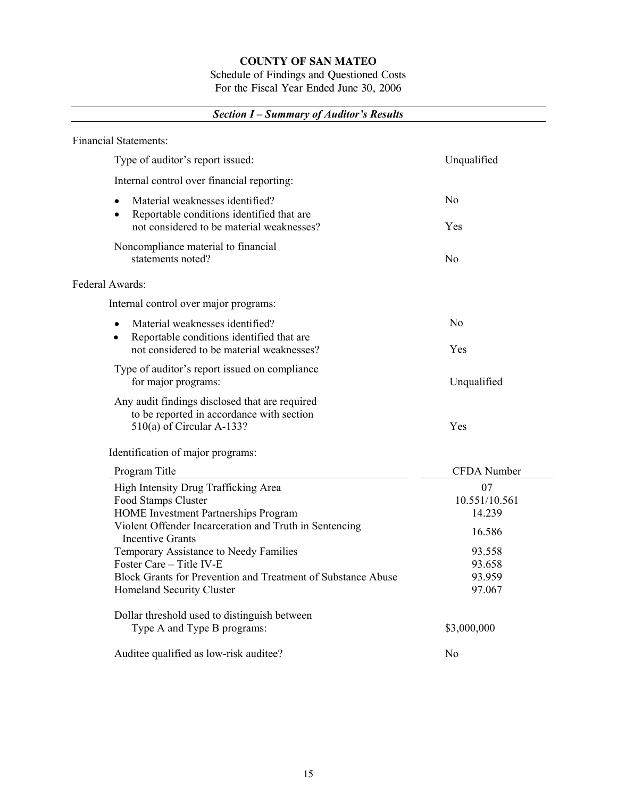Schedule of Findings and Questioned Costs For the Fiscal Year Ended June 30, 2006

| <b>Section I-Summary of Auditor's Results</b>                                                                                                                   |                                      |  |  |  |
|-----------------------------------------------------------------------------------------------------------------------------------------------------------------|--------------------------------------|--|--|--|
| <b>Financial Statements:</b>                                                                                                                                    |                                      |  |  |  |
| Type of auditor's report issued:                                                                                                                                | Unqualified                          |  |  |  |
| Internal control over financial reporting:                                                                                                                      |                                      |  |  |  |
| Material weaknesses identified?<br>$\bullet$<br>Reportable conditions identified that are<br>٠<br>not considered to be material weaknesses?                     | N <sub>o</sub><br>Yes                |  |  |  |
| Noncompliance material to financial<br>statements noted?                                                                                                        | N <sub>o</sub>                       |  |  |  |
| Federal Awards:                                                                                                                                                 |                                      |  |  |  |
| Internal control over major programs:                                                                                                                           |                                      |  |  |  |
| Material weaknesses identified?<br>$\bullet$<br>Reportable conditions identified that are<br>$\bullet$                                                          | N <sub>o</sub>                       |  |  |  |
| not considered to be material weaknesses?                                                                                                                       | Yes                                  |  |  |  |
| Type of auditor's report issued on compliance<br>for major programs:                                                                                            | Unqualified                          |  |  |  |
| Any audit findings disclosed that are required<br>to be reported in accordance with section<br>$510(a)$ of Circular A-133?                                      | Yes                                  |  |  |  |
| Identification of major programs:                                                                                                                               |                                      |  |  |  |
| Program Title                                                                                                                                                   | CFDA Number                          |  |  |  |
| High Intensity Drug Trafficking Area<br>Food Stamps Cluster<br><b>HOME</b> Investment Partnerships Program                                                      | $07\,$<br>10.551/10.561<br>14.239    |  |  |  |
| Violent Offender Incarceration and Truth in Sentencing<br><b>Incentive Grants</b>                                                                               | 16.586                               |  |  |  |
| Temporary Assistance to Needy Families<br>Foster Care – Title IV-E<br>Block Grants for Prevention and Treatment of Substance Abuse<br>Homeland Security Cluster | 93.558<br>93.658<br>93.959<br>97.067 |  |  |  |
| Dollar threshold used to distinguish between<br>Type A and Type B programs:                                                                                     | \$3,000,000                          |  |  |  |
| Auditee qualified as low-risk auditee?                                                                                                                          | N <sub>0</sub>                       |  |  |  |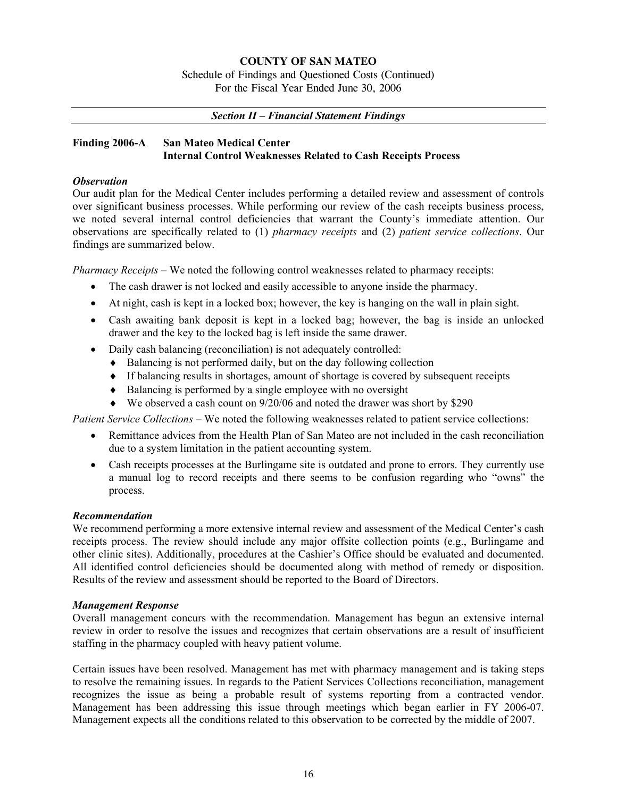Schedule of Findings and Questioned Costs (Continued) For the Fiscal Year Ended June 30, 2006

### *Section II – Financial Statement Findings*

#### **Finding 2006-A San Mateo Medical Center Internal Control Weaknesses Related to Cash Receipts Process**

#### *Observation*

Our audit plan for the Medical Center includes performing a detailed review and assessment of controls over significant business processes. While performing our review of the cash receipts business process, we noted several internal control deficiencies that warrant the County's immediate attention. Our observations are specifically related to (1) *pharmacy receipts* and (2) *patient service collections*. Our findings are summarized below.

*Pharmacy Receipts* – We noted the following control weaknesses related to pharmacy receipts:

- The cash drawer is not locked and easily accessible to anyone inside the pharmacy.
- At night, cash is kept in a locked box; however, the key is hanging on the wall in plain sight.
- Cash awaiting bank deposit is kept in a locked bag; however, the bag is inside an unlocked drawer and the key to the locked bag is left inside the same drawer.
- Daily cash balancing (reconciliation) is not adequately controlled:
	- ♦ Balancing is not performed daily, but on the day following collection
	- ♦ If balancing results in shortages, amount of shortage is covered by subsequent receipts
	- ♦ Balancing is performed by a single employee with no oversight
	- ♦ We observed a cash count on 9/20/06 and noted the drawer was short by \$290

*Patient Service Collections* – We noted the following weaknesses related to patient service collections:

- Remittance advices from the Health Plan of San Mateo are not included in the cash reconciliation due to a system limitation in the patient accounting system.
- Cash receipts processes at the Burlingame site is outdated and prone to errors. They currently use a manual log to record receipts and there seems to be confusion regarding who "owns" the process.

#### *Recommendation*

We recommend performing a more extensive internal review and assessment of the Medical Center's cash receipts process. The review should include any major offsite collection points (e.g., Burlingame and other clinic sites). Additionally, procedures at the Cashier's Office should be evaluated and documented. All identified control deficiencies should be documented along with method of remedy or disposition. Results of the review and assessment should be reported to the Board of Directors.

#### *Management Response*

Overall management concurs with the recommendation. Management has begun an extensive internal review in order to resolve the issues and recognizes that certain observations are a result of insufficient staffing in the pharmacy coupled with heavy patient volume.

Certain issues have been resolved. Management has met with pharmacy management and is taking steps to resolve the remaining issues. In regards to the Patient Services Collections reconciliation, management recognizes the issue as being a probable result of systems reporting from a contracted vendor. Management has been addressing this issue through meetings which began earlier in FY 2006-07. Management expects all the conditions related to this observation to be corrected by the middle of 2007.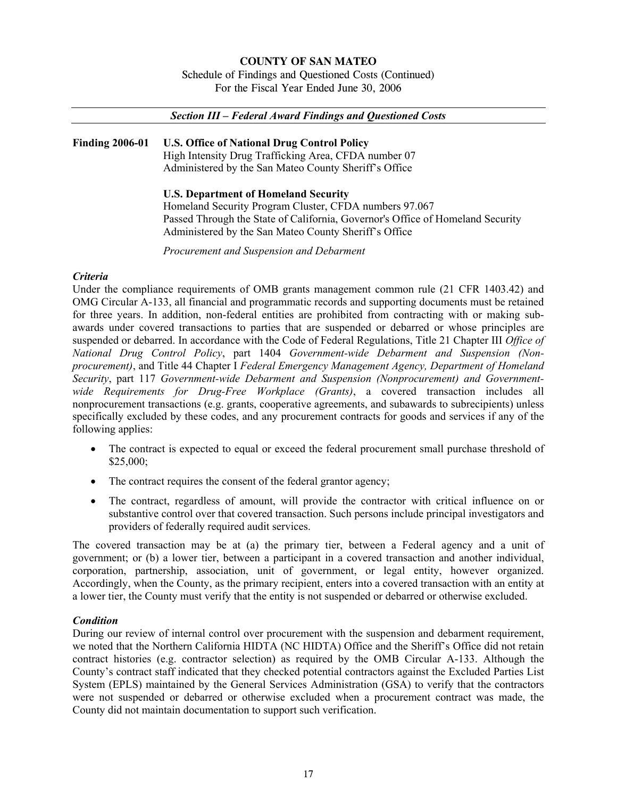Schedule of Findings and Questioned Costs (Continued) For the Fiscal Year Ended June 30, 2006

*Section III – Federal Award Findings and Questioned Costs* 

# **Finding 2006-01 U.S. Office of National Drug Control Policy**  High Intensity Drug Trafficking Area, CFDA number 07 Administered by the San Mateo County Sheriff's Office

#### **U.S. Department of Homeland Security**

Homeland Security Program Cluster, CFDA numbers 97.067 Passed Through the State of California, Governor's Office of Homeland Security Administered by the San Mateo County Sheriff's Office

*Procurement and Suspension and Debarment* 

#### *Criteria*

Under the compliance requirements of OMB grants management common rule (21 CFR 1403.42) and OMG Circular A-133, all financial and programmatic records and supporting documents must be retained for three years. In addition, non-federal entities are prohibited from contracting with or making subawards under covered transactions to parties that are suspended or debarred or whose principles are suspended or debarred. In accordance with the Code of Federal Regulations, Title 21 Chapter III *Office of National Drug Control Policy*, part 1404 *Government-wide Debarment and Suspension (Nonprocurement)*, and Title 44 Chapter I *Federal Emergency Management Agency, Department of Homeland Security*, part 117 *Government-wide Debarment and Suspension (Nonprocurement) and Governmentwide Requirements for Drug-Free Workplace (Grants)*, a covered transaction includes all nonprocurement transactions (e.g. grants, cooperative agreements, and subawards to subrecipients) unless specifically excluded by these codes, and any procurement contracts for goods and services if any of the following applies:

- The contract is expected to equal or exceed the federal procurement small purchase threshold of \$25,000;
- The contract requires the consent of the federal grantor agency;
- The contract, regardless of amount, will provide the contractor with critical influence on or substantive control over that covered transaction. Such persons include principal investigators and providers of federally required audit services.

The covered transaction may be at (a) the primary tier, between a Federal agency and a unit of government; or (b) a lower tier, between a participant in a covered transaction and another individual, corporation, partnership, association, unit of government, or legal entity, however organized. Accordingly, when the County, as the primary recipient, enters into a covered transaction with an entity at a lower tier, the County must verify that the entity is not suspended or debarred or otherwise excluded.

#### *Condition*

During our review of internal control over procurement with the suspension and debarment requirement, we noted that the Northern California HIDTA (NC HIDTA) Office and the Sheriff's Office did not retain contract histories (e.g. contractor selection) as required by the OMB Circular A-133. Although the County's contract staff indicated that they checked potential contractors against the Excluded Parties List System (EPLS) maintained by the General Services Administration (GSA) to verify that the contractors were not suspended or debarred or otherwise excluded when a procurement contract was made, the County did not maintain documentation to support such verification.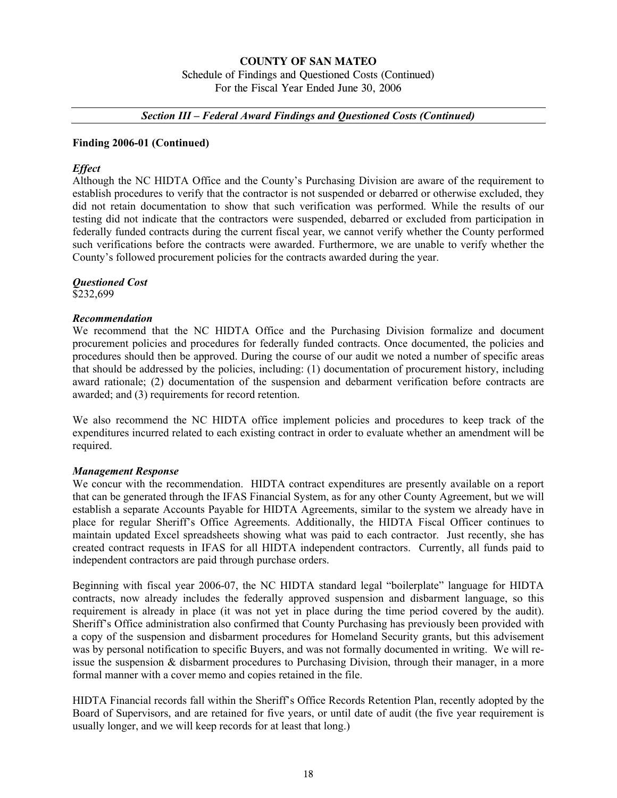Schedule of Findings and Questioned Costs (Continued) For the Fiscal Year Ended June 30, 2006

*Section III – Federal Award Findings and Questioned Costs (Continued)* 

#### **Finding 2006-01 (Continued)**

#### *Effect*

Although the NC HIDTA Office and the County's Purchasing Division are aware of the requirement to establish procedures to verify that the contractor is not suspended or debarred or otherwise excluded, they did not retain documentation to show that such verification was performed. While the results of our testing did not indicate that the contractors were suspended, debarred or excluded from participation in federally funded contracts during the current fiscal year, we cannot verify whether the County performed such verifications before the contracts were awarded. Furthermore, we are unable to verify whether the County's followed procurement policies for the contracts awarded during the year.

*Questioned Cost*  \$232,699

#### *Recommendation*

We recommend that the NC HIDTA Office and the Purchasing Division formalize and document procurement policies and procedures for federally funded contracts. Once documented, the policies and procedures should then be approved. During the course of our audit we noted a number of specific areas that should be addressed by the policies, including: (1) documentation of procurement history, including award rationale; (2) documentation of the suspension and debarment verification before contracts are awarded; and (3) requirements for record retention.

We also recommend the NC HIDTA office implement policies and procedures to keep track of the expenditures incurred related to each existing contract in order to evaluate whether an amendment will be required.

#### *Management Response*

We concur with the recommendation. HIDTA contract expenditures are presently available on a report that can be generated through the IFAS Financial System, as for any other County Agreement, but we will establish a separate Accounts Payable for HIDTA Agreements, similar to the system we already have in place for regular Sheriff's Office Agreements. Additionally, the HIDTA Fiscal Officer continues to maintain updated Excel spreadsheets showing what was paid to each contractor. Just recently, she has created contract requests in IFAS for all HIDTA independent contractors. Currently, all funds paid to independent contractors are paid through purchase orders.

Beginning with fiscal year 2006-07, the NC HIDTA standard legal "boilerplate" language for HIDTA contracts, now already includes the federally approved suspension and disbarment language, so this requirement is already in place (it was not yet in place during the time period covered by the audit). Sheriff's Office administration also confirmed that County Purchasing has previously been provided with a copy of the suspension and disbarment procedures for Homeland Security grants, but this advisement was by personal notification to specific Buyers, and was not formally documented in writing. We will reissue the suspension & disbarment procedures to Purchasing Division, through their manager, in a more formal manner with a cover memo and copies retained in the file.

HIDTA Financial records fall within the Sheriff's Office Records Retention Plan, recently adopted by the Board of Supervisors, and are retained for five years, or until date of audit (the five year requirement is usually longer, and we will keep records for at least that long.)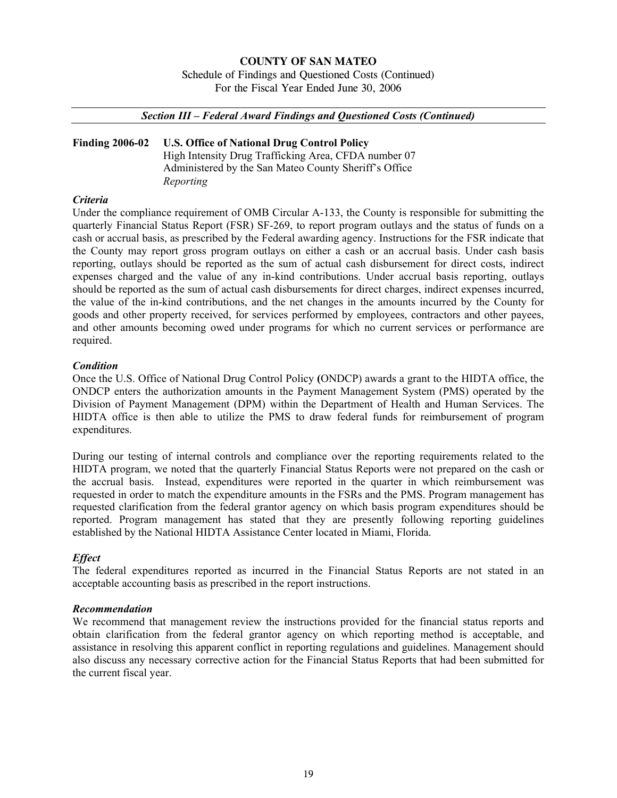Schedule of Findings and Questioned Costs (Continued) For the Fiscal Year Ended June 30, 2006

*Section III – Federal Award Findings and Questioned Costs (Continued)* 

#### **Finding 2006-02 U.S. Office of National Drug Control Policy**

High Intensity Drug Trafficking Area, CFDA number 07 Administered by the San Mateo County Sheriff's Office *Reporting* 

### *Criteria*

Under the compliance requirement of OMB Circular A-133, the County is responsible for submitting the quarterly Financial Status Report (FSR) SF-269, to report program outlays and the status of funds on a cash or accrual basis, as prescribed by the Federal awarding agency. Instructions for the FSR indicate that the County may report gross program outlays on either a cash or an accrual basis. Under cash basis reporting, outlays should be reported as the sum of actual cash disbursement for direct costs, indirect expenses charged and the value of any in-kind contributions. Under accrual basis reporting, outlays should be reported as the sum of actual cash disbursements for direct charges, indirect expenses incurred, the value of the in-kind contributions, and the net changes in the amounts incurred by the County for goods and other property received, for services performed by employees, contractors and other payees, and other amounts becoming owed under programs for which no current services or performance are required.

#### *Condition*

Once the U.S. Office of National Drug Control Policy **(**ONDCP) awards a grant to the HIDTA office, the ONDCP enters the authorization amounts in the Payment Management System (PMS) operated by the Division of Payment Management (DPM) within the Department of Health and Human Services. The HIDTA office is then able to utilize the PMS to draw federal funds for reimbursement of program expenditures.

During our testing of internal controls and compliance over the reporting requirements related to the HIDTA program, we noted that the quarterly Financial Status Reports were not prepared on the cash or the accrual basis. Instead, expenditures were reported in the quarter in which reimbursement was requested in order to match the expenditure amounts in the FSRs and the PMS. Program management has requested clarification from the federal grantor agency on which basis program expenditures should be reported. Program management has stated that they are presently following reporting guidelines established by the National HIDTA Assistance Center located in Miami, Florida.

#### *Effect*

The federal expenditures reported as incurred in the Financial Status Reports are not stated in an acceptable accounting basis as prescribed in the report instructions.

#### *Recommendation*

We recommend that management review the instructions provided for the financial status reports and obtain clarification from the federal grantor agency on which reporting method is acceptable, and assistance in resolving this apparent conflict in reporting regulations and guidelines. Management should also discuss any necessary corrective action for the Financial Status Reports that had been submitted for the current fiscal year.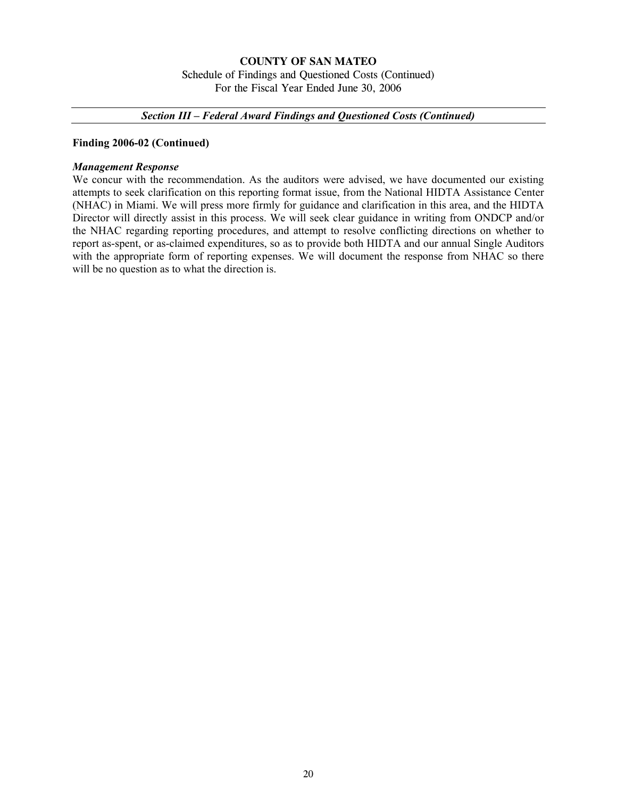Schedule of Findings and Questioned Costs (Continued) For the Fiscal Year Ended June 30, 2006

*Section III – Federal Award Findings and Questioned Costs (Continued)* 

#### **Finding 2006-02 (Continued)**

#### *Management Response*

We concur with the recommendation. As the auditors were advised, we have documented our existing attempts to seek clarification on this reporting format issue, from the National HIDTA Assistance Center (NHAC) in Miami. We will press more firmly for guidance and clarification in this area, and the HIDTA Director will directly assist in this process. We will seek clear guidance in writing from ONDCP and/or the NHAC regarding reporting procedures, and attempt to resolve conflicting directions on whether to report as-spent, or as-claimed expenditures, so as to provide both HIDTA and our annual Single Auditors with the appropriate form of reporting expenses. We will document the response from NHAC so there will be no question as to what the direction is.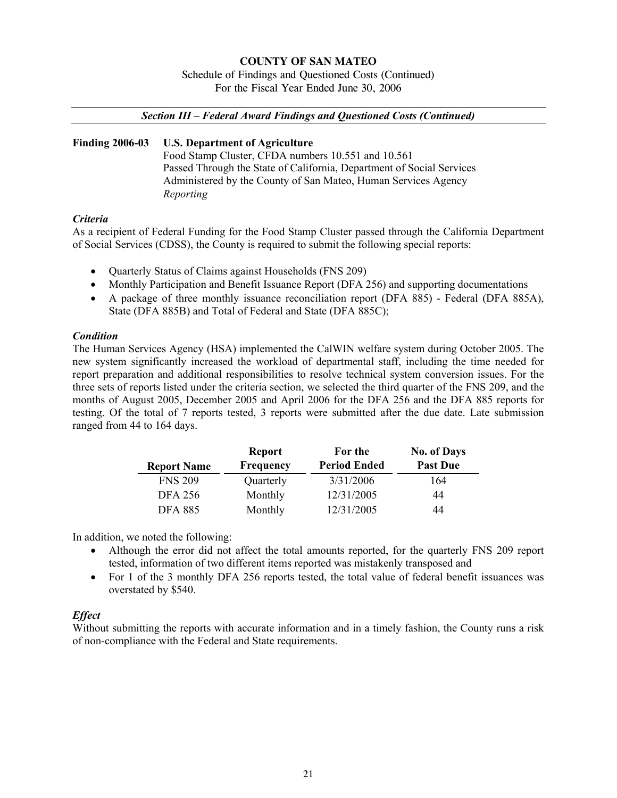Schedule of Findings and Questioned Costs (Continued) For the Fiscal Year Ended June 30, 2006

*Section III – Federal Award Findings and Questioned Costs (Continued)* 

#### **Finding 2006-03 U.S. Department of Agriculture**

Food Stamp Cluster, CFDA numbers 10.551 and 10.561 Passed Through the State of California, Department of Social Services Administered by the County of San Mateo, Human Services Agency *Reporting* 

#### *Criteria*

As a recipient of Federal Funding for the Food Stamp Cluster passed through the California Department of Social Services (CDSS), the County is required to submit the following special reports:

- Ouarterly Status of Claims against Households (FNS 209)
- Monthly Participation and Benefit Issuance Report (DFA 256) and supporting documentations
- A package of three monthly issuance reconciliation report (DFA 885) Federal (DFA 885A), State (DFA 885B) and Total of Federal and State (DFA 885C);

#### *Condition*

The Human Services Agency (HSA) implemented the CalWIN welfare system during October 2005. The new system significantly increased the workload of departmental staff, including the time needed for report preparation and additional responsibilities to resolve technical system conversion issues. For the three sets of reports listed under the criteria section, we selected the third quarter of the FNS 209, and the months of August 2005, December 2005 and April 2006 for the DFA 256 and the DFA 885 reports for testing. Of the total of 7 reports tested, 3 reports were submitted after the due date. Late submission ranged from 44 to 164 days.

|                    | <b>Report</b>    | For the             | <b>No. of Days</b> |
|--------------------|------------------|---------------------|--------------------|
| <b>Report Name</b> | <b>Frequency</b> | <b>Period Ended</b> | <b>Past Due</b>    |
| <b>FNS 209</b>     | Quarterly        | 3/31/2006           | 164                |
| <b>DFA 256</b>     | Monthly          | 12/31/2005          | 44                 |
| <b>DFA 885</b>     | Monthly          | 12/31/2005          | 44                 |

In addition, we noted the following:

- Although the error did not affect the total amounts reported, for the quarterly FNS 209 report tested, information of two different items reported was mistakenly transposed and
- For 1 of the 3 monthly DFA 256 reports tested, the total value of federal benefit issuances was overstated by \$540.

## *Effect*

Without submitting the reports with accurate information and in a timely fashion, the County runs a risk of non-compliance with the Federal and State requirements.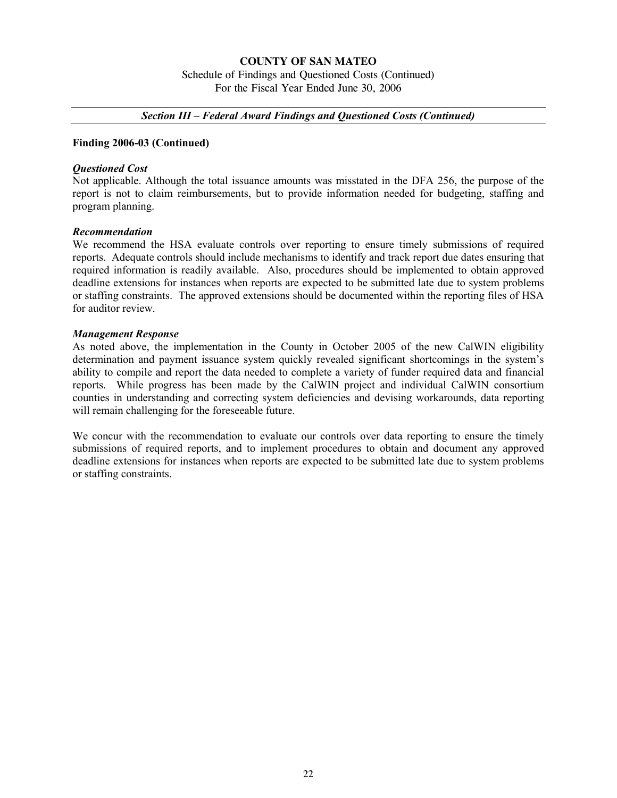Schedule of Findings and Questioned Costs (Continued) For the Fiscal Year Ended June 30, 2006

*Section III – Federal Award Findings and Questioned Costs (Continued)* 

#### **Finding 2006-03 (Continued)**

#### *Questioned Cost*

Not applicable. Although the total issuance amounts was misstated in the DFA 256, the purpose of the report is not to claim reimbursements, but to provide information needed for budgeting, staffing and program planning.

#### *Recommendation*

We recommend the HSA evaluate controls over reporting to ensure timely submissions of required reports. Adequate controls should include mechanisms to identify and track report due dates ensuring that required information is readily available. Also, procedures should be implemented to obtain approved deadline extensions for instances when reports are expected to be submitted late due to system problems or staffing constraints. The approved extensions should be documented within the reporting files of HSA for auditor review.

#### *Management Response*

As noted above, the implementation in the County in October 2005 of the new CalWIN eligibility determination and payment issuance system quickly revealed significant shortcomings in the system's ability to compile and report the data needed to complete a variety of funder required data and financial reports. While progress has been made by the CalWIN project and individual CalWIN consortium counties in understanding and correcting system deficiencies and devising workarounds, data reporting will remain challenging for the foreseeable future.

We concur with the recommendation to evaluate our controls over data reporting to ensure the timely submissions of required reports, and to implement procedures to obtain and document any approved deadline extensions for instances when reports are expected to be submitted late due to system problems or staffing constraints.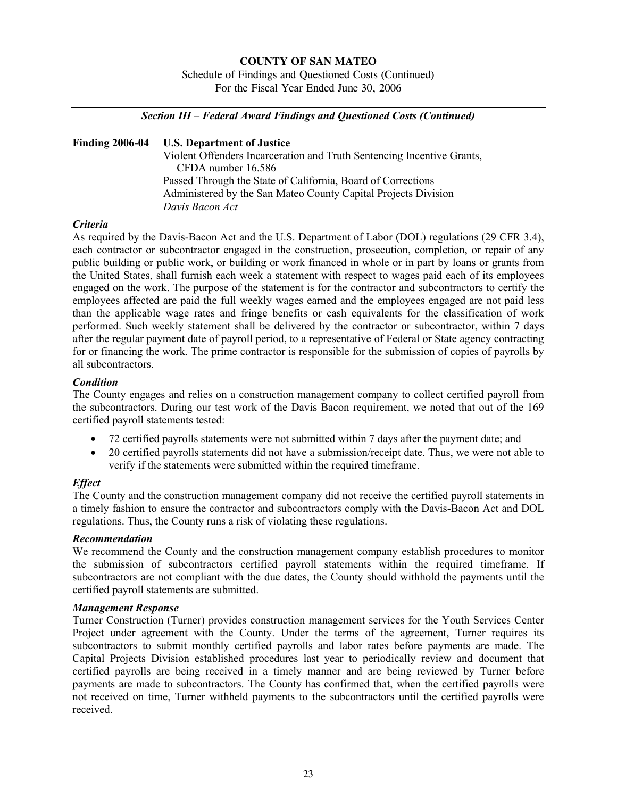Schedule of Findings and Questioned Costs (Continued) For the Fiscal Year Ended June 30, 2006

*Section III – Federal Award Findings and Questioned Costs (Continued)* 

#### **Finding 2006-04 U.S. Department of Justice**

Violent Offenders Incarceration and Truth Sentencing Incentive Grants, CFDA number 16.586 Passed Through the State of California, Board of Corrections Administered by the San Mateo County Capital Projects Division *Davis Bacon Act* 

#### *Criteria*

As required by the Davis-Bacon Act and the U.S. Department of Labor (DOL) regulations (29 CFR 3.4), each contractor or subcontractor engaged in the construction, prosecution, completion, or repair of any public building or public work, or building or work financed in whole or in part by loans or grants from the United States, shall furnish each week a statement with respect to wages paid each of its employees engaged on the work. The purpose of the statement is for the contractor and subcontractors to certify the employees affected are paid the full weekly wages earned and the employees engaged are not paid less than the applicable wage rates and fringe benefits or cash equivalents for the classification of work performed. Such weekly statement shall be delivered by the contractor or subcontractor, within 7 days after the regular payment date of payroll period, to a representative of Federal or State agency contracting for or financing the work. The prime contractor is responsible for the submission of copies of payrolls by all subcontractors.

### *Condition*

The County engages and relies on a construction management company to collect certified payroll from the subcontractors. During our test work of the Davis Bacon requirement, we noted that out of the 169 certified payroll statements tested:

- 72 certified payrolls statements were not submitted within 7 days after the payment date; and
- 20 certified payrolls statements did not have a submission/receipt date. Thus, we were not able to verify if the statements were submitted within the required timeframe.

#### *Effect*

The County and the construction management company did not receive the certified payroll statements in a timely fashion to ensure the contractor and subcontractors comply with the Davis-Bacon Act and DOL regulations. Thus, the County runs a risk of violating these regulations.

#### *Recommendation*

We recommend the County and the construction management company establish procedures to monitor the submission of subcontractors certified payroll statements within the required timeframe. If subcontractors are not compliant with the due dates, the County should withhold the payments until the certified payroll statements are submitted.

#### *Management Response*

Turner Construction (Turner) provides construction management services for the Youth Services Center Project under agreement with the County. Under the terms of the agreement, Turner requires its subcontractors to submit monthly certified payrolls and labor rates before payments are made. The Capital Projects Division established procedures last year to periodically review and document that certified payrolls are being received in a timely manner and are being reviewed by Turner before payments are made to subcontractors. The County has confirmed that, when the certified payrolls were not received on time, Turner withheld payments to the subcontractors until the certified payrolls were received.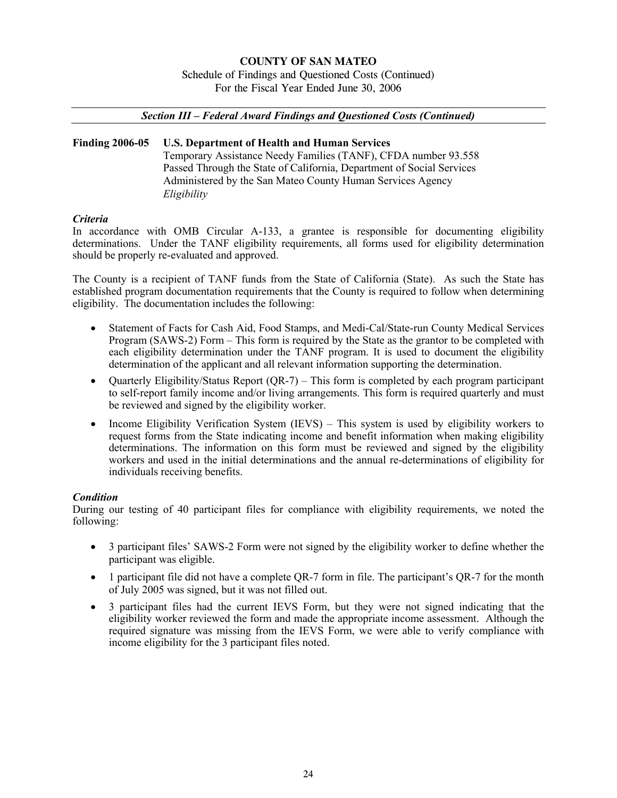Schedule of Findings and Questioned Costs (Continued) For the Fiscal Year Ended June 30, 2006

*Section III – Federal Award Findings and Questioned Costs (Continued)* 

#### **Finding 2006-05 U.S. Department of Health and Human Services**

Temporary Assistance Needy Families (TANF), CFDA number 93.558 Passed Through the State of California, Department of Social Services Administered by the San Mateo County Human Services Agency *Eligibility* 

#### *Criteria*

In accordance with OMB Circular A-133, a grantee is responsible for documenting eligibility determinations. Under the TANF eligibility requirements, all forms used for eligibility determination should be properly re-evaluated and approved.

The County is a recipient of TANF funds from the State of California (State). As such the State has established program documentation requirements that the County is required to follow when determining eligibility. The documentation includes the following:

- Statement of Facts for Cash Aid, Food Stamps, and Medi-Cal/State-run County Medical Services Program (SAWS-2) Form – This form is required by the State as the grantor to be completed with each eligibility determination under the TANF program. It is used to document the eligibility determination of the applicant and all relevant information supporting the determination.
- Quarterly Eligibility/Status Report (QR-7) This form is completed by each program participant to self-report family income and/or living arrangements. This form is required quarterly and must be reviewed and signed by the eligibility worker.
- Income Eligibility Verification System (IEVS) This system is used by eligibility workers to request forms from the State indicating income and benefit information when making eligibility determinations. The information on this form must be reviewed and signed by the eligibility workers and used in the initial determinations and the annual re-determinations of eligibility for individuals receiving benefits.

#### *Condition*

During our testing of 40 participant files for compliance with eligibility requirements, we noted the following:

- 3 participant files' SAWS-2 Form were not signed by the eligibility worker to define whether the participant was eligible.
- 1 participant file did not have a complete QR-7 form in file. The participant's QR-7 for the month of July 2005 was signed, but it was not filled out.
- 3 participant files had the current IEVS Form, but they were not signed indicating that the eligibility worker reviewed the form and made the appropriate income assessment. Although the required signature was missing from the IEVS Form, we were able to verify compliance with income eligibility for the 3 participant files noted.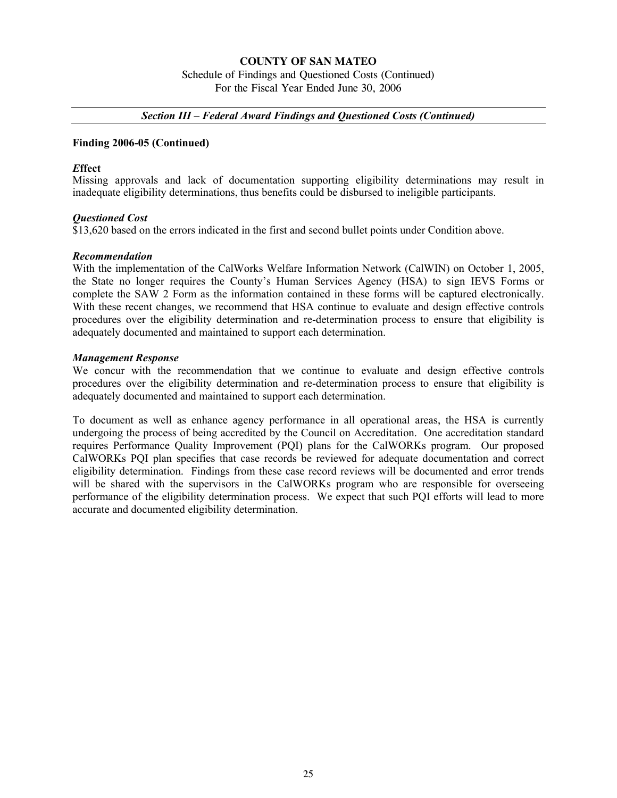Schedule of Findings and Questioned Costs (Continued) For the Fiscal Year Ended June 30, 2006

*Section III – Federal Award Findings and Questioned Costs (Continued)* 

#### **Finding 2006-05 (Continued)**

#### *E***ffect**

Missing approvals and lack of documentation supporting eligibility determinations may result in inadequate eligibility determinations, thus benefits could be disbursed to ineligible participants.

#### *Questioned Cost*

\$13,620 based on the errors indicated in the first and second bullet points under Condition above.

#### *Recommendation*

With the implementation of the CalWorks Welfare Information Network (CalWIN) on October 1, 2005, the State no longer requires the County's Human Services Agency (HSA) to sign IEVS Forms or complete the SAW 2 Form as the information contained in these forms will be captured electronically. With these recent changes, we recommend that HSA continue to evaluate and design effective controls procedures over the eligibility determination and re-determination process to ensure that eligibility is adequately documented and maintained to support each determination.

#### *Management Response*

We concur with the recommendation that we continue to evaluate and design effective controls procedures over the eligibility determination and re-determination process to ensure that eligibility is adequately documented and maintained to support each determination.

To document as well as enhance agency performance in all operational areas, the HSA is currently undergoing the process of being accredited by the Council on Accreditation. One accreditation standard requires Performance Quality Improvement (PQI) plans for the CalWORKs program. Our proposed CalWORKs PQI plan specifies that case records be reviewed for adequate documentation and correct eligibility determination. Findings from these case record reviews will be documented and error trends will be shared with the supervisors in the CalWORKs program who are responsible for overseeing performance of the eligibility determination process. We expect that such PQI efforts will lead to more accurate and documented eligibility determination.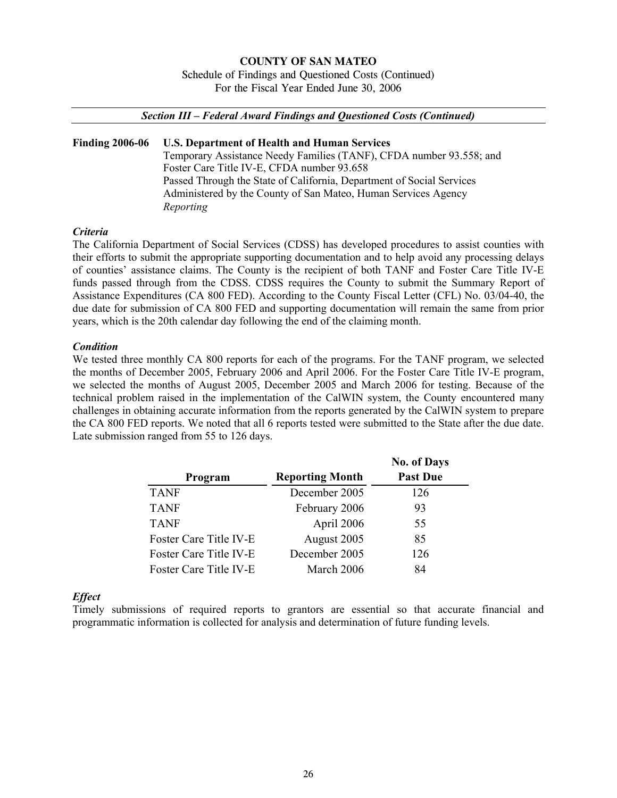Schedule of Findings and Questioned Costs (Continued) For the Fiscal Year Ended June 30, 2006

*Section III – Federal Award Findings and Questioned Costs (Continued)* 

#### **Finding 2006-06 U.S. Department of Health and Human Services**

Temporary Assistance Needy Families (TANF), CFDA number 93.558; and Foster Care Title IV-E, CFDA number 93.658 Passed Through the State of California, Department of Social Services Administered by the County of San Mateo, Human Services Agency *Reporting* 

#### *Criteria*

The California Department of Social Services (CDSS) has developed procedures to assist counties with their efforts to submit the appropriate supporting documentation and to help avoid any processing delays of counties' assistance claims. The County is the recipient of both TANF and Foster Care Title IV-E funds passed through from the CDSS. CDSS requires the County to submit the Summary Report of Assistance Expenditures (CA 800 FED). According to the County Fiscal Letter (CFL) No. 03/04-40, the due date for submission of CA 800 FED and supporting documentation will remain the same from prior years, which is the 20th calendar day following the end of the claiming month.

#### *Condition*

We tested three monthly CA 800 reports for each of the programs. For the TANF program, we selected the months of December 2005, February 2006 and April 2006. For the Foster Care Title IV-E program, we selected the months of August 2005, December 2005 and March 2006 for testing. Because of the technical problem raised in the implementation of the CalWIN system, the County encountered many challenges in obtaining accurate information from the reports generated by the CalWIN system to prepare the CA 800 FED reports. We noted that all 6 reports tested were submitted to the State after the due date. Late submission ranged from 55 to 126 days.

|                        |                        | <b>No. of Days</b> |
|------------------------|------------------------|--------------------|
| Program                | <b>Reporting Month</b> | <b>Past Due</b>    |
| <b>TANF</b>            | December 2005          | 126                |
| <b>TANF</b>            | February 2006          | 93                 |
| <b>TANF</b>            | April 2006             | 55                 |
| Foster Care Title IV-E | August 2005            | 85                 |
| Foster Care Title IV-E | December 2005          | 126                |
| Foster Care Title IV-E | March 2006             | 84                 |

#### *Effect*

Timely submissions of required reports to grantors are essential so that accurate financial and programmatic information is collected for analysis and determination of future funding levels.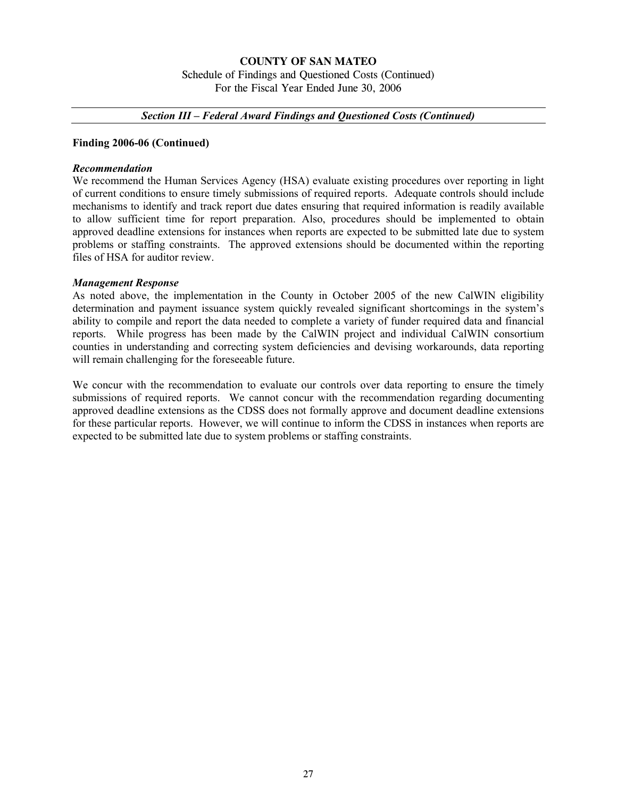Schedule of Findings and Questioned Costs (Continued) For the Fiscal Year Ended June 30, 2006

*Section III – Federal Award Findings and Questioned Costs (Continued)* 

#### **Finding 2006-06 (Continued)**

#### *Recommendation*

We recommend the Human Services Agency (HSA) evaluate existing procedures over reporting in light of current conditions to ensure timely submissions of required reports. Adequate controls should include mechanisms to identify and track report due dates ensuring that required information is readily available to allow sufficient time for report preparation. Also, procedures should be implemented to obtain approved deadline extensions for instances when reports are expected to be submitted late due to system problems or staffing constraints. The approved extensions should be documented within the reporting files of HSA for auditor review.

#### *Management Response*

As noted above, the implementation in the County in October 2005 of the new CalWIN eligibility determination and payment issuance system quickly revealed significant shortcomings in the system's ability to compile and report the data needed to complete a variety of funder required data and financial reports. While progress has been made by the CalWIN project and individual CalWIN consortium counties in understanding and correcting system deficiencies and devising workarounds, data reporting will remain challenging for the foreseeable future.

We concur with the recommendation to evaluate our controls over data reporting to ensure the timely submissions of required reports. We cannot concur with the recommendation regarding documenting approved deadline extensions as the CDSS does not formally approve and document deadline extensions for these particular reports. However, we will continue to inform the CDSS in instances when reports are expected to be submitted late due to system problems or staffing constraints.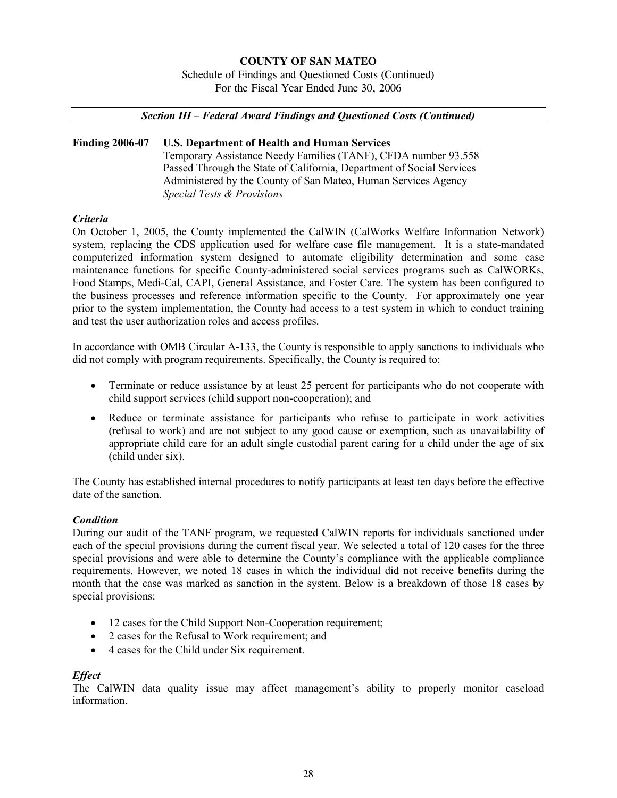Schedule of Findings and Questioned Costs (Continued) For the Fiscal Year Ended June 30, 2006

*Section III – Federal Award Findings and Questioned Costs (Continued)* 

#### **Finding 2006-07 U.S. Department of Health and Human Services**

Temporary Assistance Needy Families (TANF), CFDA number 93.558 Passed Through the State of California, Department of Social Services Administered by the County of San Mateo, Human Services Agency *Special Tests & Provisions*

#### *Criteria*

On October 1, 2005, the County implemented the CalWIN (CalWorks Welfare Information Network) system, replacing the CDS application used for welfare case file management. It is a state-mandated computerized information system designed to automate eligibility determination and some case maintenance functions for specific County-administered social services programs such as CalWORKs, Food Stamps, Medi-Cal, CAPI, General Assistance, and Foster Care. The system has been configured to the business processes and reference information specific to the County. For approximately one year prior to the system implementation, the County had access to a test system in which to conduct training and test the user authorization roles and access profiles.

In accordance with OMB Circular A-133, the County is responsible to apply sanctions to individuals who did not comply with program requirements. Specifically, the County is required to:

- Terminate or reduce assistance by at least 25 percent for participants who do not cooperate with child support services (child support non-cooperation); and
- Reduce or terminate assistance for participants who refuse to participate in work activities (refusal to work) and are not subject to any good cause or exemption, such as unavailability of appropriate child care for an adult single custodial parent caring for a child under the age of six (child under six).

The County has established internal procedures to notify participants at least ten days before the effective date of the sanction.

#### *Condition*

During our audit of the TANF program, we requested CalWIN reports for individuals sanctioned under each of the special provisions during the current fiscal year. We selected a total of 120 cases for the three special provisions and were able to determine the County's compliance with the applicable compliance requirements. However, we noted 18 cases in which the individual did not receive benefits during the month that the case was marked as sanction in the system. Below is a breakdown of those 18 cases by special provisions:

- 12 cases for the Child Support Non-Cooperation requirement;
- 2 cases for the Refusal to Work requirement; and
- 4 cases for the Child under Six requirement.

#### *Effect*

The CalWIN data quality issue may affect management's ability to properly monitor caseload information.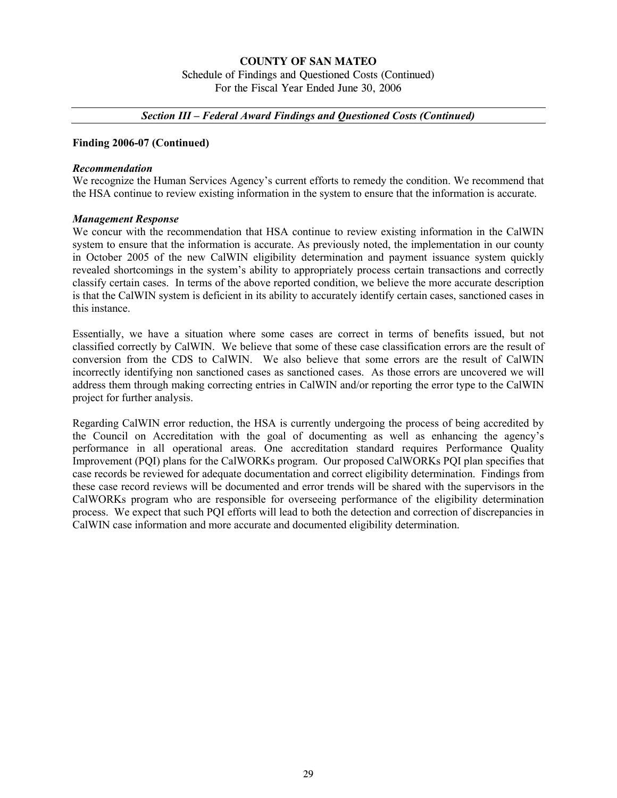Schedule of Findings and Questioned Costs (Continued) For the Fiscal Year Ended June 30, 2006

*Section III – Federal Award Findings and Questioned Costs (Continued)* 

#### **Finding 2006-07 (Continued)**

#### *Recommendation*

We recognize the Human Services Agency's current efforts to remedy the condition. We recommend that the HSA continue to review existing information in the system to ensure that the information is accurate.

#### *Management Response*

We concur with the recommendation that HSA continue to review existing information in the CalWIN system to ensure that the information is accurate. As previously noted, the implementation in our county in October 2005 of the new CalWIN eligibility determination and payment issuance system quickly revealed shortcomings in the system's ability to appropriately process certain transactions and correctly classify certain cases. In terms of the above reported condition, we believe the more accurate description is that the CalWIN system is deficient in its ability to accurately identify certain cases, sanctioned cases in this instance.

Essentially, we have a situation where some cases are correct in terms of benefits issued, but not classified correctly by CalWIN. We believe that some of these case classification errors are the result of conversion from the CDS to CalWIN. We also believe that some errors are the result of CalWIN incorrectly identifying non sanctioned cases as sanctioned cases. As those errors are uncovered we will address them through making correcting entries in CalWIN and/or reporting the error type to the CalWIN project for further analysis.

Regarding CalWIN error reduction, the HSA is currently undergoing the process of being accredited by the Council on Accreditation with the goal of documenting as well as enhancing the agency's performance in all operational areas. One accreditation standard requires Performance Quality Improvement (PQI) plans for the CalWORKs program. Our proposed CalWORKs PQI plan specifies that case records be reviewed for adequate documentation and correct eligibility determination. Findings from these case record reviews will be documented and error trends will be shared with the supervisors in the CalWORKs program who are responsible for overseeing performance of the eligibility determination process. We expect that such PQI efforts will lead to both the detection and correction of discrepancies in CalWIN case information and more accurate and documented eligibility determination.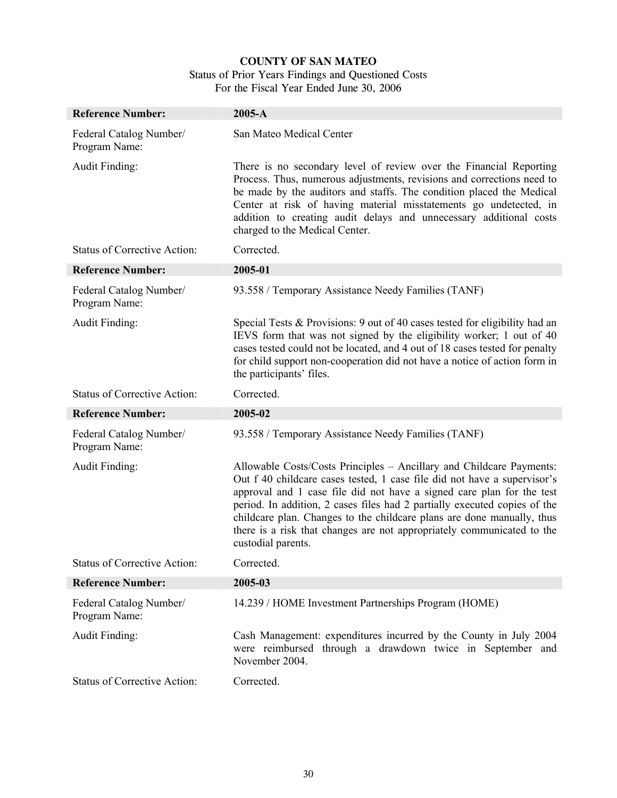#### Status of Prior Years Findings and Questioned Costs For the Fiscal Year Ended June 30, 2006

| <b>Reference Number:</b>                 | $2005-A$                                                                                                                                                                                                                                                                                                                                                                                                                                                                         |  |
|------------------------------------------|----------------------------------------------------------------------------------------------------------------------------------------------------------------------------------------------------------------------------------------------------------------------------------------------------------------------------------------------------------------------------------------------------------------------------------------------------------------------------------|--|
| Federal Catalog Number/<br>Program Name: | San Mateo Medical Center                                                                                                                                                                                                                                                                                                                                                                                                                                                         |  |
| <b>Audit Finding:</b>                    | There is no secondary level of review over the Financial Reporting<br>Process. Thus, numerous adjustments, revisions and corrections need to<br>be made by the auditors and staffs. The condition placed the Medical<br>Center at risk of having material misstatements go undetected, in<br>addition to creating audit delays and unnecessary additional costs<br>charged to the Medical Center.                                                                                |  |
| <b>Status of Corrective Action:</b>      | Corrected.                                                                                                                                                                                                                                                                                                                                                                                                                                                                       |  |
| <b>Reference Number:</b>                 | 2005-01                                                                                                                                                                                                                                                                                                                                                                                                                                                                          |  |
| Federal Catalog Number/<br>Program Name: | 93.558 / Temporary Assistance Needy Families (TANF)                                                                                                                                                                                                                                                                                                                                                                                                                              |  |
| <b>Audit Finding:</b>                    | Special Tests $&$ Provisions: 9 out of 40 cases tested for eligibility had an<br>IEVS form that was not signed by the eligibility worker; 1 out of 40<br>cases tested could not be located, and 4 out of 18 cases tested for penalty<br>for child support non-cooperation did not have a notice of action form in<br>the participants' files.                                                                                                                                    |  |
| <b>Status of Corrective Action:</b>      | Corrected.                                                                                                                                                                                                                                                                                                                                                                                                                                                                       |  |
| <b>Reference Number:</b>                 | 2005-02                                                                                                                                                                                                                                                                                                                                                                                                                                                                          |  |
|                                          |                                                                                                                                                                                                                                                                                                                                                                                                                                                                                  |  |
| Federal Catalog Number/<br>Program Name: | 93.558 / Temporary Assistance Needy Families (TANF)                                                                                                                                                                                                                                                                                                                                                                                                                              |  |
| <b>Audit Finding:</b>                    | Allowable Costs/Costs Principles - Ancillary and Childcare Payments:<br>Out f 40 childcare cases tested, 1 case file did not have a supervisor's<br>approval and 1 case file did not have a signed care plan for the test<br>period. In addition, 2 cases files had 2 partially executed copies of the<br>childcare plan. Changes to the childcare plans are done manually, thus<br>there is a risk that changes are not appropriately communicated to the<br>custodial parents. |  |
| <b>Status of Corrective Action:</b>      | Corrected.                                                                                                                                                                                                                                                                                                                                                                                                                                                                       |  |
| <b>Reference Number:</b>                 | 2005-03                                                                                                                                                                                                                                                                                                                                                                                                                                                                          |  |
| Federal Catalog Number/<br>Program Name: | 14.239 / HOME Investment Partnerships Program (HOME)                                                                                                                                                                                                                                                                                                                                                                                                                             |  |
| <b>Audit Finding:</b>                    | Cash Management: expenditures incurred by the County in July 2004<br>were reimbursed through a drawdown twice in September and<br>November 2004.                                                                                                                                                                                                                                                                                                                                 |  |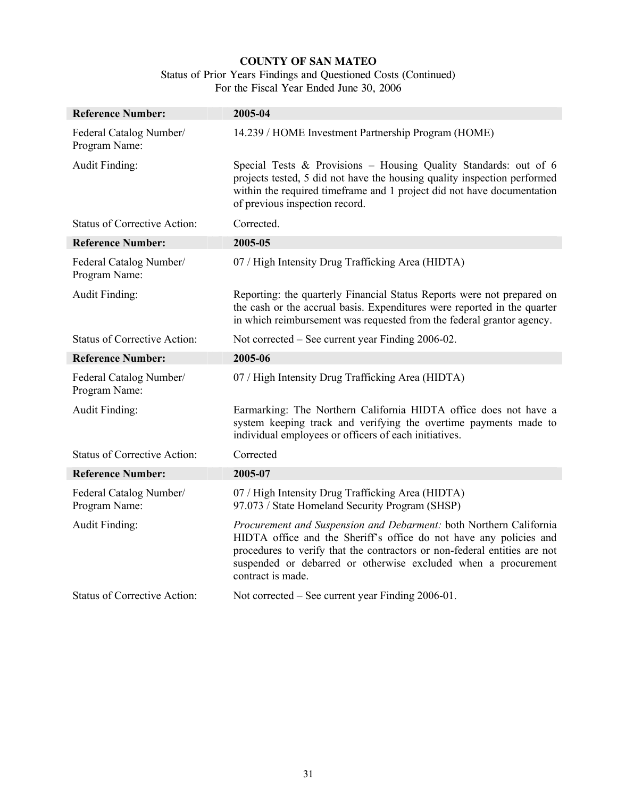#### Status of Prior Years Findings and Questioned Costs (Continued) For the Fiscal Year Ended June 30, 2006

| <b>Reference Number:</b>                 | 2005-04                                                                                                                                                                                                                                                                                                      |
|------------------------------------------|--------------------------------------------------------------------------------------------------------------------------------------------------------------------------------------------------------------------------------------------------------------------------------------------------------------|
| Federal Catalog Number/<br>Program Name: | 14.239 / HOME Investment Partnership Program (HOME)                                                                                                                                                                                                                                                          |
| <b>Audit Finding:</b>                    | Special Tests & Provisions - Housing Quality Standards: out of 6<br>projects tested, 5 did not have the housing quality inspection performed<br>within the required timeframe and 1 project did not have documentation<br>of previous inspection record.                                                     |
| <b>Status of Corrective Action:</b>      | Corrected.                                                                                                                                                                                                                                                                                                   |
| <b>Reference Number:</b>                 | 2005-05                                                                                                                                                                                                                                                                                                      |
| Federal Catalog Number/<br>Program Name: | 07 / High Intensity Drug Trafficking Area (HIDTA)                                                                                                                                                                                                                                                            |
| <b>Audit Finding:</b>                    | Reporting: the quarterly Financial Status Reports were not prepared on<br>the cash or the accrual basis. Expenditures were reported in the quarter<br>in which reimbursement was requested from the federal grantor agency.                                                                                  |
| <b>Status of Corrective Action:</b>      | Not corrected – See current year Finding 2006-02.                                                                                                                                                                                                                                                            |
| <b>Reference Number:</b>                 | 2005-06                                                                                                                                                                                                                                                                                                      |
|                                          |                                                                                                                                                                                                                                                                                                              |
| Federal Catalog Number/<br>Program Name: | 07 / High Intensity Drug Trafficking Area (HIDTA)                                                                                                                                                                                                                                                            |
| <b>Audit Finding:</b>                    | Earmarking: The Northern California HIDTA office does not have a<br>system keeping track and verifying the overtime payments made to<br>individual employees or officers of each initiatives.                                                                                                                |
| <b>Status of Corrective Action:</b>      | Corrected                                                                                                                                                                                                                                                                                                    |
| <b>Reference Number:</b>                 | 2005-07                                                                                                                                                                                                                                                                                                      |
| Federal Catalog Number/<br>Program Name: | 07 / High Intensity Drug Trafficking Area (HIDTA)<br>97.073 / State Homeland Security Program (SHSP)                                                                                                                                                                                                         |
| <b>Audit Finding:</b>                    | Procurement and Suspension and Debarment: both Northern California<br>HIDTA office and the Sheriff's office do not have any policies and<br>procedures to verify that the contractors or non-federal entities are not<br>suspended or debarred or otherwise excluded when a procurement<br>contract is made. |